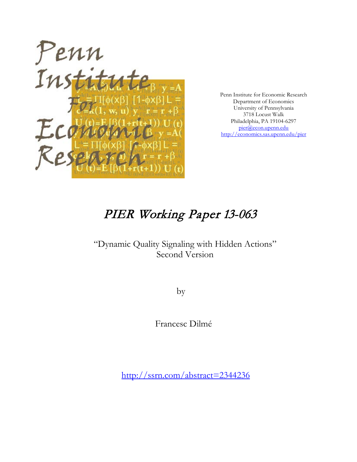

Penn Institute for Economic Research Department of Economics University of Pennsylvania 3718 Locust Walk Philadelphia, PA 19104-6297 [pier@econ.upenn.edu](mailto:pier@econ.upenn.edu) <http://economics.sas.upenn.edu/pier>

# PIER Working Paper 13-063

# "Dynamic Quality Signaling with Hidden Actions" Second Version

by

Francesc Dilmé

[http://ssrn.com/abstract=2](http://ssrn.com/abstract_id=)344236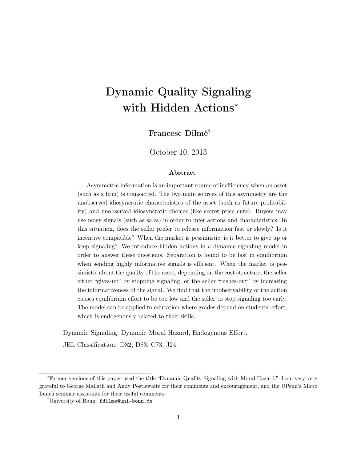# Dynamic Quality Signaling with Hidden Actions<sup>∗</sup>

Francesc Dilmé†

October 10, 2013

#### Abstract

Asymmetric information is an important source of inefficiency when an asset (such as a firm) is transacted. The two main sources of this asymmetry are the unobserved idiosyncratic characteristics of the asset (such as future profitability) and unobserved idiosyncratic choices (like secret price cuts). Buyers may use noisy signals (such as sales) in order to infer actions and characteristics. In this situation, does the seller prefer to release information fast or slowly? Is it incentive compatible? When the market is pessimistic, is it better to give up or keep signaling? We introduce hidden actions in a dynamic signaling model in order to answer these questions. Separation is found to be fast in equilibrium when sending highly informative signals is efficient. When the market is pessimistic about the quality of the asset, depending on the cost structure, the seller either "gives-up" by stopping signaling, or the seller "rushes-out" by increasing the informativeness of the signal. We find that the unobservability of the action causes equilibrium effort to be too low and the seller to stop signaling too early. The model can be applied to education where grades depend on students' effort, which is endogenously related to their skills.

Dynamic Signaling, Dynamic Moral Hazard, Endogenous Effort.

JEL Classification: D82, D83, C73, J24.

<sup>∗</sup>Former versions of this paper used the title "Dynamic Quality Signaling with Moral Hazard." I am very very grateful to George Mailath and Andy Postlewaite for their comments and encouragement, and the UPenn's Micro Lunch seminar assistants for their useful comments.

<sup>†</sup>University of Bonn. fdilme@uni-bonn.de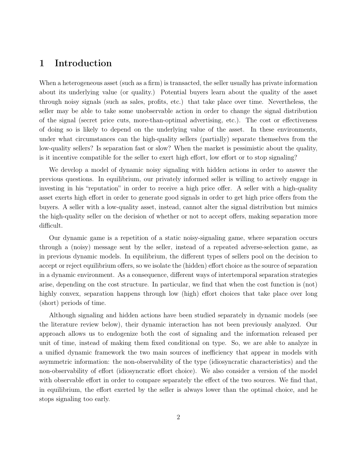### 1 Introduction

When a heterogeneous asset (such as a firm) is transacted, the seller usually has private information about its underlying value (or quality.) Potential buyers learn about the quality of the asset through noisy signals (such as sales, profits, etc.) that take place over time. Nevertheless, the seller may be able to take some unobservable action in order to change the signal distribution of the signal (secret price cuts, more-than-optimal advertising, etc.). The cost or effectiveness of doing so is likely to depend on the underlying value of the asset. In these environments, under what circumstances can the high-quality sellers (partially) separate themselves from the low-quality sellers? Is separation fast or slow? When the market is pessimistic about the quality, is it incentive compatible for the seller to exert high effort, low effort or to stop signaling?

We develop a model of dynamic noisy signaling with hidden actions in order to answer the previous questions. In equilibrium, our privately informed seller is willing to actively engage in investing in his "reputation" in order to receive a high price offer. A seller with a high-quality asset exerts high effort in order to generate good signals in order to get high price offers from the buyers. A seller with a low-quality asset, instead, cannot alter the signal distribution but mimics the high-quality seller on the decision of whether or not to accept offers, making separation more difficult.

Our dynamic game is a repetition of a static noisy-signaling game, where separation occurs through a (noisy) message sent by the seller, instead of a repeated adverse-selection game, as in previous dynamic models. In equilibrium, the different types of sellers pool on the decision to accept or reject equilibrium offers, so we isolate the (hidden) effort choice as the source of separation in a dynamic environment. As a consequence, different ways of intertemporal separation strategies arise, depending on the cost structure. In particular, we find that when the cost function is (not) highly convex, separation happens through low (high) effort choices that take place over long (short) periods of time.

Although signaling and hidden actions have been studied separately in dynamic models (see the literature review below), their dynamic interaction has not been previously analyzed. Our approach allows us to endogenize both the cost of signaling and the information released per unit of time, instead of making them fixed conditional on type. So, we are able to analyze in a unified dynamic framework the two main sources of inefficiency that appear in models with asymmetric information: the non-observability of the type (idiosyncratic characteristics) and the non-observability of effort (idiosyncratic effort choice). We also consider a version of the model with observable effort in order to compare separately the effect of the two sources. We find that, in equilibrium, the effort exerted by the seller is always lower than the optimal choice, and he stops signaling too early.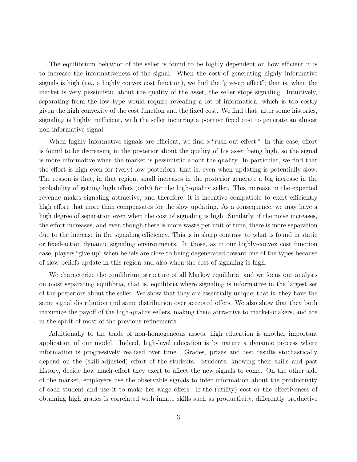The equilibrium behavior of the seller is found to be highly dependent on how efficient it is to increase the informativeness of the signal. When the cost of generating highly informative signals is high (i.e., a highly convex cost function), we find the "give-up effect"; that is, when the market is very pessimistic about the quality of the asset, the seller stops signaling. Intuitively, separating from the low type would require revealing a lot of information, which is too costly given the high convexity of the cost function and the fixed cost. We find that, after some histories, signaling is highly inefficient, with the seller incurring a positive fixed cost to generate an almost non-informative signal.

When highly informative signals are efficient, we find a "rush-out effect." In this case, effort is found to be decreasing in the posterior about the quality of his asset being high, so the signal is more informative when the market is pessimistic about the quality. In particular, we find that the effort is high even for (very) low posteriors, that is, even when updating is potentially slow. The reason is that, in that region, small increases in the posterior generate a big increase in the probability of getting high offers (only) for the high-quality seller. This increase in the expected revenue makes signaling attractive, and therefore, it is incentive compatible to exert efficiently high effort that more than compensates for the slow updating. As a consequence, we may have a high degree of separation even when the cost of signaling is high. Similarly, if the noise increases, the effort increases, and even though there is more waste per unit of time, there is more separation due to the increase in the signaling efficiency. This is in sharp contrast to what is found in static or fixed-action dynamic signaling environments. In those, as in our highly-convex cost function case, players "give up" when beliefs are close to being degenerated toward one of the types because of slow beliefs update in this region and also when the cost of signaling is high.

We characterize the equilibrium structure of all Markov equilibria, and we focus our analysis on most separating equilibria, that is, equilibria where signaling is informative in the largest set of the posteriors about the seller. We show that they are essentially unique; that is, they have the same signal distribution and same distribution over accepted offers. We also show that they both maximize the payoff of the high-quality sellers, making them attractive to market-makers, and are in the spirit of most of the previous refinements.

Additionally to the trade of non-homogeneous assets, high education is another important application of our model. Indeed, high-level education is by nature a dynamic process where information is progressively realized over time. Grades, prizes and test results stochastically depend on the (skill-adjusted) effort of the students. Students, knowing their skills and past history, decide how much effort they exert to affect the new signals to come. On the other side of the market, employers use the observable signals to infer information about the productivity of each student and use it to make her wage offers. If the (utility) cost or the effectiveness of obtaining high grades is correlated with innate skills such as productivity, differently productive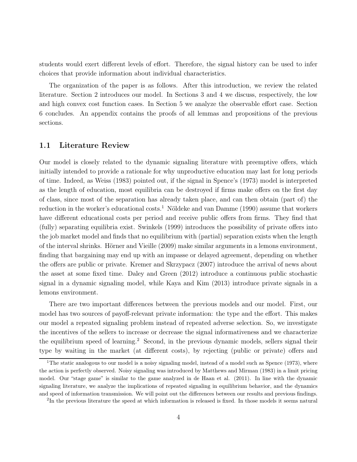students would exert different levels of effort. Therefore, the signal history can be used to infer choices that provide information about individual characteristics.

The organization of the paper is as follows. After this introduction, we review the related literature. Section 2 introduces our model. In Sections 3 and 4 we discuss, respectively, the low and high convex cost function cases. In Section 5 we analyze the observable effort case. Section 6 concludes. An appendix contains the proofs of all lemmas and propositions of the previous sections.

### 1.1 Literature Review

Our model is closely related to the dynamic signaling literature with preemptive offers, which initially intended to provide a rationale for why unproductive education may last for long periods of time. Indeed, as Weiss (1983) pointed out, if the signal in Spence's (1973) model is interpreted as the length of education, most equilibria can be destroyed if firms make offers on the first day of class, since most of the separation has already taken place, and can then obtain (part of) the reduction in the worker's educational costs.<sup>1</sup> Nöldeke and van Damme (1990) assume that workers have different educational costs per period and receive public offers from firms. They find that (fully) separating equilibria exist. Swinkels (1999) introduces the possibility of private offers into the job market model and finds that no equilibrium with (partial) separation exists when the length of the interval shrinks. Hörner and Vieille (2009) make similar arguments in a lemons environment, finding that bargaining may end up with an impasse or delayed agreement, depending on whether the offers are public or private. Kremer and Skrzypacz (2007) introduce the arrival of news about the asset at some fixed time. Daley and Green (2012) introduce a continuous public stochastic signal in a dynamic signaling model, while Kaya and Kim (2013) introduce private signals in a lemons environment.

There are two important differences between the previous models and our model. First, our model has two sources of payoff-relevant private information: the type and the effort. This makes our model a repeated signaling problem instead of repeated adverse selection. So, we investigate the incentives of the sellers to increase or decrease the signal informativeness and we characterize the equilibrium speed of learning.<sup>2</sup> Second, in the previous dynamic models, sellers signal their type by waiting in the market (at different costs), by rejecting (public or private) offers and

<sup>&</sup>lt;sup>1</sup>The static analogous to our model is a noisy signaling model, instead of a model such as Spence (1973), where the action is perfectly observed. Noisy signaling was introduced by Matthews and Mirman (1983) in a limit pricing model. Our "stage game" is similar to the game analyzed in de Haan et al. (2011). In line with the dynamic signaling literature, we analyze the implications of repeated signaling in equilibrium behavior, and the dynamics and speed of information transmission. We will point out the differences between our results and previous findings.<br><sup>2</sup>In the previous literature the speed at which information is released is fixed. In those models it seem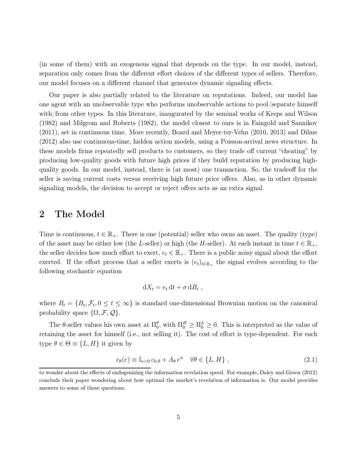(in some of them) with an exogenous signal that depends on the type. In our model, instead, separation only comes from the different effort choices of the different types of sellers. Therefore, our model focuses on a different channel that generates dynamic signaling effects.

Our paper is also partially related to the literature on reputations. Indeed, our model has one agent with an unobservable type who performs unobservable actions to pool/separate himself with/from other types. In this literature, inaugurated by the seminal works of Kreps and Wilson (1982) and Milgrom and Roberts (1982), the model closest to ours is in Faingold and Sannikov (2011), set in continuous time. More recently, Board and Meyer-ter-Vehn (2010, 2013) and Dilme (2012) also use continuous-time, hidden action models, using a Poisson-arrival news structure. In these models firms repeatedly sell products to customers, so they trade off current "cheating" by producing low-quality goods with future high prices if they build reputation by producing highquality goods. In our model, instead, there is (at most) one transaction. So, the tradeoff for the seller is saving current costs versus receiving high future price offers. Also, as in other dynamic signaling models, the decision to accept or reject offers acts as an extra signal.

# 2 The Model

Time is continuous,  $t \in \mathbb{R}_+$ . There is one (potential) seller who owns an asset. The quality (type) of the asset may be either low (the L-seller) or high (the H-seller). At each instant in time  $t \in \mathbb{R}_+$ , the seller decides how much effort to exert,  $e_t \in \mathbb{R}_+$ . There is a public noisy signal about the effort exerted. If the effort process that a seller exerts is  $(e_t)_{t\in\mathbb{R}_+}$  the signal evolves according to the following stochastic equation

$$
dX_t = e_t dt + \sigma dB_t,
$$

where  $B_t = \{B_t, \mathcal{F}_t, 0 \leq t \leq \infty\}$  is standard one-dimensional Brownian motion on the canonical probability space  $\{\Omega, \mathcal{F}, \mathcal{Q}\}.$ 

The  $\theta$ -seller values his own asset at  $\Pi_0^{\theta}$ , with  $\Pi_0^H \geq \Pi_0^L \geq 0$ . This is interpreted as the value of retaining the asset for himself (i.e., not selling it). The cost of effort is type-dependent. For each type  $\theta \in \Theta \equiv \{L, H\}$  it given by

$$
c_{\theta}(e) \equiv \mathbb{I}_{e>0} c_{0,\theta} + A_{\theta} e^{\alpha} \quad \forall \theta \in \{L, H\} \tag{2.1}
$$

to wonder about the effects of endogenizing the information revelation speed. For example, Daley and Green (2012) conclude their paper wondering about how optimal the market's revelation of information is. Our model provides answers to some of these questions.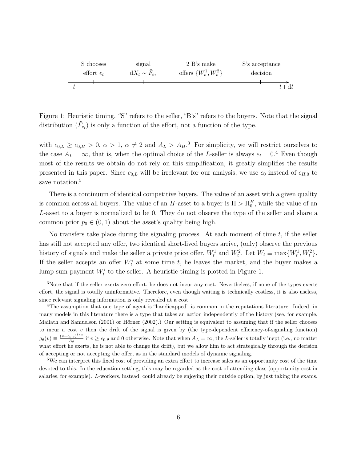

Figure 1: Heuristic timing. "S" refers to the seller, "B's" refers to the buyers. Note that the signal distribution  $(\tilde{F}_{e_t})$  is only a function of the effort, not a function of the type.

with  $c_{0,L} \ge c_{0,H} > 0$ ,  $\alpha > 1$ ,  $\alpha \ne 2$  and  $A_L > A_H$ .<sup>3</sup> For simplicity, we will restrict ourselves to the case  $A_L = \infty$ , that is, when the optimal choice of the L-seller is always  $e_t = 0.4$  Even though most of the results we obtain do not rely on this simplification, it greatly simplifies the results presented in this paper. Since  $c_{0,L}$  will be irrelevant for our analysis, we use  $c_0$  instead of  $c_{H,0}$  to save notation.<sup>5</sup>

There is a continuum of identical competitive buyers. The value of an asset with a given quality is common across all buyers. The value of an  $H$ -asset to a buyer is  $\Pi > \Pi_0^H$ , while the value of an L-asset to a buyer is normalized to be 0. They do not observe the type of the seller and share a common prior  $p_0 \in (0, 1)$  about the asset's quality being high.

No transfers take place during the signaling process. At each moment of time  $t$ , if the seller has still not accepted any offer, two identical short-lived buyers arrive, (only) observe the previous history of signals and make the seller a private price offer,  $W_t^1$  and  $W_t^2$ . Let  $W_t \equiv \max\{W_t^1, W_t^2\}$ . If the seller accepts an offer  $W_t^i$  at some time t, he leaves the market, and the buyer makes a lump-sum payment  $W_t^i$  to the seller. A heuristic timing is plotted in Figure 1.

<sup>3</sup>Note that if the seller exerts zero effort, he does not incur any cost. Nevertheless, if none of the types exerts effort, the signal is totally uninformative. Therefore, even though waiting is technically costless, it is also useless, since relevant signaling information is only revealed at a cost.

<sup>4</sup>The assumption that one type of agent is "handicapped" is common in the reputations literature. Indeed, in many models in this literature there is a type that takes an action independently of the history (see, for example, Mailath and Samuelson (2001) or Hörner (2002).) Our setting is equivalent to assuming that if the seller chooses to incur a cost  $v$  then the drift of the signal is given by (the type-dependent efficiency-of-signaling function)  $g_{\theta}(v) \equiv \frac{(v - c_{0,\theta})^{1/\alpha}}{A_{\theta}}$  if  $v \ge c_{0,\theta}$  and 0 otherwise. Note that when  $A_L = \infty$ , the L-seller is totally inept (i.e., no matter what effort he exerts, he is not able to change the drift), but we allow him to act strategically through the decision of accepting or not accepting the offer, as in the standard models of dynamic signaling.

<sup>&</sup>lt;sup>5</sup>We can interpret this fixed cost of providing an extra effort to increase sales as an opportunity cost of the time devoted to this. In the education setting, this may be regarded as the cost of attending class (opportunity cost in salaries, for example). L-workers, instead, could already be enjoying their outside option, by just taking the exams.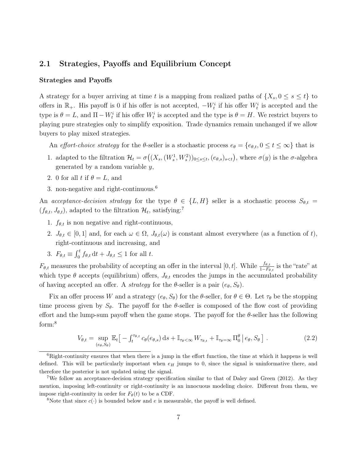### 2.1 Strategies, Payoffs and Equilibrium Concept

#### Strategies and Payoffs

A strategy for a buyer arriving at time t is a mapping from realized paths of  $\{X_s, 0 \le s \le t\}$  to offers in  $\mathbb{R}_+$ . His payoff is 0 if his offer is not accepted,  $-W_t^i$  if his offer  $W_t^i$  is accepted and the type is  $\theta = L$ , and  $\Pi - W_t^i$  if his offer  $W_t^i$  is accepted and the type is  $\theta = H$ . We restrict buyers to playing pure strategies only to simplify exposition. Trade dynamics remain unchanged if we allow buyers to play mixed strategies.

An effort-choice strategy for the  $\theta$ -seller is a stochastic process  $e_{\theta} = \{e_{\theta,t}, 0 \le t \le \infty\}$  that is

- 1. adapted to the filtration  $\mathcal{H}_t = \sigma((X_s, (W_s^1, W_s^2))_{0 \le s \le t}, (e_{\theta,s})_{s \le t})$ , where  $\sigma(y)$  is the  $\sigma$ -algebra generated by a random variable  $y$ ,
- 2. 0 for all t if  $\theta = L$ , and
- 3. non-negative and right-continuous.<sup>6</sup>

An acceptance-decision strategy for the type  $\theta \in \{L, H\}$  seller is a stochastic process  $S_{\theta,t}$  =  $(f_{\theta,t}, J_{\theta,t})$ , adapted to the filtration  $\mathcal{H}_t$ , satisfying:<sup>7</sup>

- 1.  $f_{\theta,t}$  is non negative and right-continuous,
- 2.  $J_{\theta,t} \in [0,1]$  and, for each  $\omega \in \Omega$ ,  $J_{\theta,t}(\omega)$  is constant almost everywhere (as a function of t), right-continuous and increasing, and
- 3.  $F_{\theta,t} \equiv \int_0^t f_{\theta,t} dt + J_{\theta,t} \le 1$  for all t.

 $F_{\theta,t}$  measures the probability of accepting an offer in the interval [0, t]. While  $\frac{f_{\theta,t}}{1-F_{\theta,t}}$  is the "rate" at which type  $\theta$  accepts (equilibrium) offers,  $J_{\theta,t}$  encodes the jumps in the accumulated probability of having accepted an offer. A *strategy* for the  $\theta$ -seller is a pair  $(e_{\theta}, S_{\theta})$ .

Fix an offer process W and a strategy  $(e_{\theta}, S_{\theta})$  for the  $\theta$ -seller, for  $\theta \in \Theta$ . Let  $\tau_{\theta}$  be the stopping time process given by  $S_{\theta}$ . The payoff for the  $\theta$ -seller is composed of the flow cost of providing effort and the lump-sum payoff when the game stops. The payoff for the  $\theta$ -seller has the following form:<sup>8</sup>

$$
V_{\theta,t} = \sup_{(e_{\theta}, S_{\theta})} \mathbb{E}_t \left[ - \int_t^{\tau_{\theta,t}} c_{\theta}(e_{\theta,s}) ds + \mathbb{I}_{\tau_{\theta} < \infty} W_{\tau_{\theta,t}} + \mathbb{I}_{\tau_{\theta} = \infty} \Pi_0^{\theta} \, \middle| \, e_{\theta}, S_{\theta} \right]. \tag{2.2}
$$

 ${}^{6}$ Right-continuity ensures that when there is a jump in the effort function, the time at which it happens is well defined. This will be particularly important when  $e_H$  jumps to 0, since the signal is uninformative there, and therefore the posterior is not updated using the signal.

<sup>7</sup>We follow an acceptance-decision strategy specification similar to that of Daley and Green (2012). As they mention, imposing left-continuity or right-continuity is an innocuous modeling choice. Different from them, we impose right-continuity in order for  $F_{\theta}(t)$  to be a CDF.

<sup>&</sup>lt;sup>8</sup>Note that since  $c(\cdot)$  is bounded below and e is measurable, the payoff is well defined.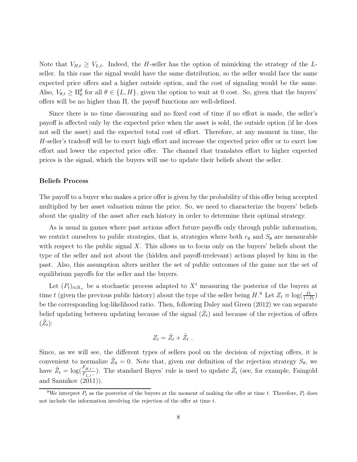Note that  $V_{H,t} \geq V_{L,t}$ . Indeed, the H-seller has the option of mimicking the strategy of the Lseller. In this case the signal would have the same distribution, so the seller would face the same expected price offers and a higher outside option, and the cost of signaling would be the same. Also,  $V_{\theta,t} \geq \Pi_0^{\theta}$  for all  $\theta \in \{L, H\}$ , given the option to wait at 0 cost. So, given that the buyers' offers will be no higher than  $\Pi$ , the payoff functions are well-defined.

Since there is no time discounting and no fixed cost of time if no effort is made, the seller's payoff is affected only by the expected price when the asset is sold, the outside option (if he does not sell the asset) and the expected total cost of effort. Therefore, at any moment in time, the H-seller's tradeoff will be to exert high effort and increase the expected price offer or to exert low effort and lower the expected price offer. The channel that translates effort to higher expected prices is the signal, which the buyers will use to update their beliefs about the seller.

#### Beliefs Process

The payoff to a buyer who makes a price offer is given by the probability of this offer being accepted multiplied by her asset valuation minus the price. So, we need to characterize the buyers' beliefs about the quality of the asset after each history in order to determine their optimal strategy.

As is usual in games where past actions affect future payoffs only through public information, we restrict ourselves to public strategies, that is, strategies where both  $e_{\theta}$  and  $S_{\theta}$  are measurable with respect to the public signal  $X$ . This allows us to focus only on the buyers' beliefs about the type of the seller and not about the (hidden and payoff-irrelevant) actions played by him in the past. Also, this assumption alters neither the set of public outcomes of the game nor the set of equilibrium payoffs for the seller and the buyers.

Let  $(P_t)_{t \in \mathbb{R}_+}$  be a stochastic process adapted to  $X^t$  measuring the posterior of the buyers at time t (given the previous public history) about the type of the seller being  $H$ .<sup>9</sup> Let  $Z_t \equiv \log(\frac{P_t}{1-P_t})$ be the corresponding log-likelihood ratio. Then, following Daley and Green (2012) we can separate belief updating between updating because of the signal  $(\hat{Z}_t)$  and because of the rejection of offers  $(Z_t)$ :

$$
Z_t = \hat{Z}_t + \tilde{Z}_t .
$$

Since, as we will see, the different types of sellers pool on the decision of rejecting offers, it is convenient to normalize  $\tilde{Z}_0 = 0$ . Note that, given our definition of the rejection strategy  $S_{\theta}$ , we have  $\tilde{Z}_t = \log(\frac{F_{H,t-}}{F_{L,t-}})$ . The standard Bayes' rule is used to update  $\hat{Z}_t$  (see, for example, Faingold and Sannikov (2011)).

<sup>&</sup>lt;sup>9</sup>We interpret  $P_t$  as the posterior of the buyers at the moment of making the offer at time t. Therefore,  $P_t$  does not include the information involving the rejection of the offer at time  $t$ .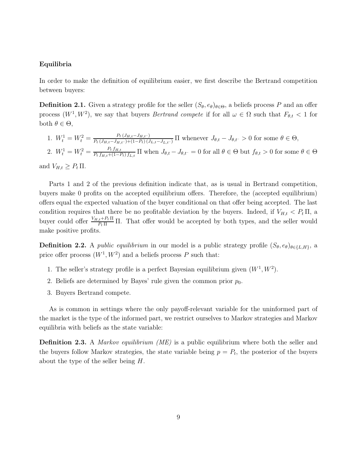### Equilibria

In order to make the definition of equilibrium easier, we first describe the Bertrand competition between buyers:

**Definition 2.1.** Given a strategy profile for the seller  $(S_{\theta}, e_{\theta})_{\theta \in \Theta}$ , a beliefs process P and an offer process  $(W^1, W^2)$ , we say that buyers *Bertrand compete* if for all  $\omega \in \Omega$  such that  $F_{\theta,t} < 1$  for both  $\theta \in \Theta$ ,

1. 
$$
W_t^1 = W_t^2 = \frac{P_t(J_{H,t}-J_{H,t^-})}{P_t(J_{H,t}-J_{H,t^-}) + (1-P_t)(J_{L,t}-J_{L,t^-})} \Pi
$$
 whenever  $J_{\theta,t} - J_{\theta,t^-} > 0$  for some  $\theta \in \Theta$ , \n2.  $W_t^1 = W_t^2 = \frac{P_t f_{H,t}}{P_t f_{H,t} + (1-P_t) f_{L,t}}$   $\Pi$  when  $J_{\theta,t} - J_{\theta,t^-} = 0$  for all  $\theta \in \Theta$  but  $f_{\theta,t} > 0$  for some  $\theta \in \Theta$ .

and  $V_{H,t} \geq P_t \Pi$ .

Parts 1 and 2 of the previous definition indicate that, as is usual in Bertrand competition, buyers make 0 profits on the accepted equilibrium offers. Therefore, the (accepted equilibrium) offers equal the expected valuation of the buyer conditional on that offer being accepted. The last condition requires that there be no profitable deviation by the buyers. Indeed, if  $V_{H,t} < P_t \Pi$ , a buyer could offer  $\frac{V_{H,t}+P_t \Pi}{P_t \Pi} \Pi$ . That offer would be accepted by both types, and the seller would make positive profits.

**Definition 2.2.** A *public equilibrium* in our model is a public strategy profile  $(S_{\theta}, e_{\theta})_{\theta \in \{L,H\}}$ , a price offer process  $(W^1, W^2)$  and a beliefs process P such that:

- 1. The seller's strategy profile is a perfect Bayesian equilibrium given  $(W^1, W^2)$ .
- 2. Beliefs are determined by Bayes' rule given the common prior  $p_0$ .
- 3. Buyers Bertrand compete.

As is common in settings where the only payoff-relevant variable for the uninformed part of the market is the type of the informed part, we restrict ourselves to Markov strategies and Markov equilibria with beliefs as the state variable:

**Definition 2.3.** A *Markov equilibrium (ME)* is a public equilibrium where both the seller and the buyers follow Markov strategies, the state variable being  $p = P_t$ , the posterior of the buyers about the type of the seller being H.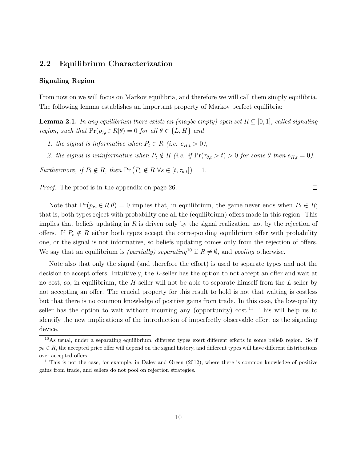### 2.2 Equilibrium Characterization

### Signaling Region

From now on we will focus on Markov equilibria, and therefore we will call them simply equilibria. The following lemma establishes an important property of Markov perfect equilibria:

**Lemma 2.1.** In any equilibrium there exists an (maybe empty) open set  $R \subseteq [0,1]$ , called signaling region, such that  $Pr(p_{\tau_{\theta}} \in R | \theta) = 0$  for all  $\theta \in \{L, H\}$  and

- 1. the signal is informative when  $P_t \in R$  (i.e.  $e_{H,t} > 0$ ),
- 2. the signal is uninformative when  $P_t \notin R$  (i.e. if  $Pr(\tau_{\theta,t} > t) > 0$  for some  $\theta$  then  $e_{H,t} = 0$ ).

Furthermore, if  $P_t \notin R$ , then  $\Pr(P_s \notin R | \forall s \in [t, \tau_{\theta,t}]) = 1$ .

Proof. The proof is in the appendix on page 26.

Note that  $Pr(p_{\tau_{\theta}} \in R | \theta) = 0$  implies that, in equilibrium, the game never ends when  $P_t \in R$ ; that is, both types reject with probability one all the (equilibrium) offers made in this region. This implies that beliefs updating in R is driven only by the signal realization, not by the rejection of offers. If  $P_t \notin R$  either both types accept the corresponding equilibrium offer with probability one, or the signal is not informative, so beliefs updating comes only from the rejection of offers. We say that an equilibrium is *(partially)* separating<sup>10</sup> if  $R \neq \emptyset$ , and pooling otherwise.

Note also that only the signal (and therefore the effort) is used to separate types and not the decision to accept offers. Intuitively, the L-seller has the option to not accept an offer and wait at no cost, so, in equilibrium, the  $H$ -seller will not be able to separate himself from the  $L$ -seller by not accepting an offer. The crucial property for this result to hold is not that waiting is costless but that there is no common knowledge of positive gains from trade. In this case, the low-quality seller has the option to wait without incurring any (opportunity) cost.<sup>11</sup> This will help us to identify the new implications of the introduction of imperfectly observable effort as the signaling device.

<sup>10</sup>As usual, under a separating equilibrium, different types exert different efforts in some beliefs region. So if  $p_0 \in R$ , the accepted price offer will depend on the signal history, and different types will have different distributions over accepted offers.<br><sup>11</sup>This is not the case, for example, in Daley and Green (2012), where there is common knowledge of positive

gains from trade, and sellers do not pool on rejection strategies.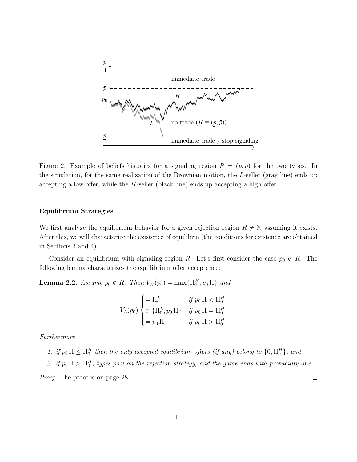

Figure 2: Example of beliefs histories for a signaling region  $R = (p, \bar{p})$  for the two types. In the simulation, for the same realization of the Brownian motion, the L-seller (gray line) ends up accepting a low offer, while the H-seller (black line) ends up accepting a high offer.

### Equilibrium Strategies

We first analyze the equilibrium behavior for a given rejection region  $R \neq \emptyset$ , assuming it exists. After this, we will characterize the existence of equilibria (the conditions for existence are obtained in Sections 3 and 4).

Consider an equilibrium with signaling region R. Let's first consider the case  $p_0 \notin R$ . The following lemma characterizes the equilibrium offer acceptance:

**Lemma 2.2.** Assume  $p_0 \notin R$ . Then  $V_H(p_0) = \max{\{\Pi_0^H, p_0 \Pi\}}$  and

$$
V_L(p_0) \begin{cases} = \Pi_0^L & \text{if } p_0 \Pi < \Pi_0^H \\ \in \{\Pi_0^L, p_0 \Pi\} & \text{if } p_0 \Pi = \Pi_0^H \\ = p_0 \Pi & \text{if } p_0 \Pi > \Pi_0^H \end{cases}
$$

Furthermore

1. if  $p_0 \Pi \leq \Pi_0^H$  then the only accepted equilibrium offers (if any) belong to  $\{0, \Pi_0^H\}$ ; and

2. if  $p_0 \Pi > \Pi_0^H$ , types pool on the rejection strategy, and the game ends with probability one.

 $\Box$ 

Proof. The proof is on page 28.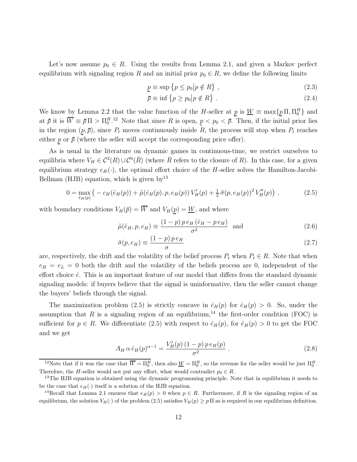Let's now assume  $p_0 \in R$ . Using the results from Lemma 2.1, and given a Markov perfect equilibrium with signaling region R and an initial prior  $p_0 \in R$ , we define the following limits

$$
\underline{p} \equiv \sup \left\{ p \le p_0 \middle| p \notin R \right\},\tag{2.3}
$$

$$
\bar{p} \equiv \inf \left\{ p \ge p_0 \middle| p \notin R \right\} \,. \tag{2.4}
$$

We know by Lemma 2.2 that the value function of the H-seller at  $p$  is  $\underline{W} \equiv \max\{p \Pi, \Pi_0^H\}$  and at  $\bar{p}$  it is  $\bar{W} \equiv \bar{p} \Pi > \Pi_0^{H,12}$  Note that since R is open,  $p < p_0 < \bar{p}$ . Then, if the initial prior lies in the region  $(p, \bar{p})$ , since  $P_t$  moves continuously inside R, the process will stop when  $P_t$  reaches either p or  $\bar{p}$  (where the seller will accept the corresponding price offer).

As is usual in the literature on dynamic games in continuous-time, we restrict ourselves to equilibria where  $V_H \in C^2(R) \cup C^0(\overline{R})$  (where  $\overline{R}$  refers to the closure of R). In this case, for a given equilibrium strategy  $e_H(\cdot)$ , the optimal effort choice of the H-seller solves the Hamilton-Jacobi-Bellman (HJB) equation, which is given by<sup>13</sup>

$$
0 = \max_{\hat{e}_H(p)} \left( -c_H(\hat{e}_H(p)) + \tilde{\mu}(\hat{e}_H(p), p, e_H(p)) V'_H(p) + \frac{1}{2} \tilde{\sigma}(p, e_H(p))^2 V''_H(p) \right), \tag{2.5}
$$

with boundary conditions  $V_H(\bar{p}) = \overline{W}$  and  $V_H(\underline{p}) = \underline{W}$ , and where

$$
\tilde{\mu}(\hat{e}_H, p, e_H) \equiv \frac{(1-p) p e_H (\hat{e}_H - p e_H)}{\sigma^2} \quad \text{and} \tag{2.6}
$$

$$
\tilde{\sigma}(p, e_H) \equiv \frac{(1-p) \, p \, e_H}{\sigma} \tag{2.7}
$$

are, respectively, the drift and the volatility of the belief process  $P_t$  when  $P_t \in R$ . Note that when  $e_H = e_L = 0$  both the drift and the volatility of the beliefs process are 0, independent of the effort choice  $\hat{e}$ . This is an important feature of our model that differs from the standard dynamic signaling models: if buyers believe that the signal is uninformative, then the seller cannot change the buyers' beliefs through the signal.

The maximization problem (2.5) is strictly concave in  $\hat{e}_H(p)$  for  $\hat{e}_H(p) > 0$ . So, under the assumption that R is a signaling region of an equilibrium,<sup>14</sup> the first-order condition (FOC) is sufficient for  $p \in R$ . We differentiate (2.5) with respect to  $\hat{e}_H(p)$ , for  $\hat{e}_H(p) > 0$  to get the FOC and we get

$$
A_H \alpha \hat{e}_H(p)^{\alpha - 1} = \frac{V'_H(p) (1 - p) p e_H(p)}{\sigma^2} . \tag{2.8}
$$

<sup>&</sup>lt;sup>12</sup>Note that if it was the case that  $\overline{W} = \Pi_0^H$ , then also  $\underline{W} = \Pi_0^H$ , so the revenue for the seller would be just  $\Pi_0^H$ . Therefore, the H-seller would not put any effort, what would contradict  $p_0 \in R$ .<br><sup>13</sup>The HJB equation is obtained using the dynamic programming principle. Note that in equilibrium it needs to

be the case that  $e_H(\cdot)$  itself is a solution of the HJB equation.

<sup>&</sup>lt;sup>14</sup>Recall that Lemma 2.1 ensures that  $e_H(p) > 0$  when  $p \in R$ . Furthermore, if R is the signaling region of an equilibrium, the solution  $V_H(\cdot)$  of the problem (2.5) satisfies  $V_H(p) \geq p \Pi$  as is required in our equilibrium definition.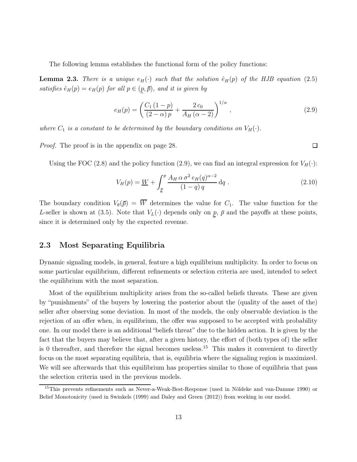The following lemma establishes the functional form of the policy functions:

**Lemma 2.3.** There is a unique  $e_H(\cdot)$  such that the solution  $\hat{e}_H(p)$  of the HJB equation (2.5) satisfies  $\hat{e}_H(p) = e_H(p)$  for all  $p \in (p, \bar{p})$ , and it is given by

$$
e_H(p) = \left(\frac{C_1 (1-p)}{(2-\alpha)p} + \frac{2c_0}{A_H (\alpha - 2)}\right)^{1/\alpha},
$$
\n(2.9)

where  $C_1$  is a constant to be determined by the boundary conditions on  $V_H(\cdot)$ .

Proof. The proof is in the appendix on page 28.

Using the FOC (2.8) and the policy function (2.9), we can find an integral expression for  $V_H(\cdot)$ :

$$
V_H(p) = \underline{W} + \int_{\underline{p}}^p \frac{A_H \alpha \sigma^2 e_H(q)^{\alpha - 2}}{(1 - q) q} dq . \qquad (2.10)
$$

 $\Box$ 

The boundary condition  $V_{\theta}(\bar{p}) = \overline{W}$  determines the value for  $C_1$ . The value function for the L-seller is shown at (3.5). Note that  $V_L(\cdot)$  depends only on  $\bar{p}$ ,  $\bar{p}$  and the payoffs at these points, since it is determined only by the expected revenue.

### 2.3 Most Separating Equilibria

Dynamic signaling models, in general, feature a high equilibrium multiplicity. In order to focus on some particular equilibrium, different refinements or selection criteria are used, intended to select the equilibrium with the most separation.

Most of the equilibrium multiplicity arises from the so-called beliefs threats. These are given by "punishments" of the buyers by lowering the posterior about the (quality of the asset of the) seller after observing some deviation. In most of the models, the only observable deviation is the rejection of an offer when, in equilibrium, the offer was supposed to be accepted with probability one. In our model there is an additional "beliefs threat" due to the hidden action. It is given by the fact that the buyers may believe that, after a given history, the effort of (both types of) the seller is 0 thereafter, and therefore the signal becomes useless.<sup>15</sup> This makes it convenient to directly focus on the most separating equilibria, that is, equilibria where the signaling region is maximized. We will see afterwards that this equilibrium has properties similar to those of equilibria that pass the selection criteria used in the previous models.

<sup>15</sup>This prevents refinements such as Never-a-Weak-Best-Response (used in Nöldeke and van-Damme 1990) or Belief Monotonicity (used in Swinkels (1999) and Daley and Green (2012)) from working in our model.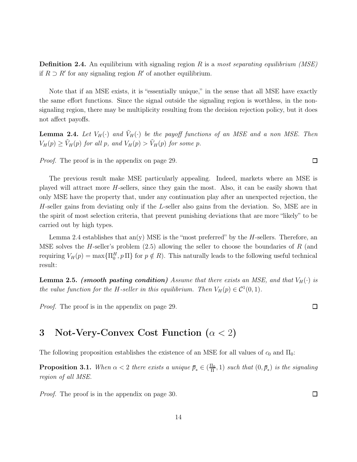Note that if an MSE exists, it is "essentially unique," in the sense that all MSE have exactly the same effort functions. Since the signal outside the signaling region is worthless, in the nonsignaling region, there may be multiplicity resulting from the decision rejection policy, but it does not affect payoffs.

**Lemma 2.4.** Let  $V_H(\cdot)$  and  $\tilde{V}_H(\cdot)$  be the payoff functions of an MSE and a non MSE. Then  $V_H(p) \geq \tilde{V}_H(p)$  for all p, and  $V_H(p) > \tilde{V}_H(p)$  for some p.

Proof. The proof is in the appendix on page 29.

The previous result make MSE particularly appealing. Indeed, markets where an MSE is played will attract more H-sellers, since they gain the most. Also, it can be easily shown that only MSE have the property that, under any continuation play after an unexpected rejection, the H-seller gains from deviating only if the L-seller also gains from the deviation. So, MSE are in the spirit of most selection criteria, that prevent punishing deviations that are more "likely" to be carried out by high types.

Lemma 2.4 establishes that an(y) MSE is the "most preferred" by the  $H$ -sellers. Therefore, an MSE solves the  $H$ -seller's problem  $(2.5)$  allowing the seller to choose the boundaries of  $R$  (and requiring  $V_H(p) = \max\{\Pi_0^H, p \Pi\}$  for  $p \notin R$ ). This naturally leads to the following useful technical result:

**Lemma 2.5.** (smooth pasting condition) Assume that there exists an MSE, and that  $V_H(\cdot)$  is the value function for the H-seller in this equilibrium. Then  $V_H(p) \in C^1(0, 1)$ .

Proof. The proof is in the appendix on page 29.

### 3 Not-Very-Convex Cost Function  $(\alpha < 2)$

The following proposition establishes the existence of an MSE for all values of  $c_0$  and  $\Pi_0$ :

**Proposition 3.1.** When  $\alpha < 2$  there exists a unique  $\bar{p}_* \in (\frac{\Pi_0}{\Pi}, 1)$  such that  $(0, \bar{p}_*)$  is the signaling region of all MSE.

Proof. The proof is in the appendix on page 30.

 $\Box$ 

 $\Box$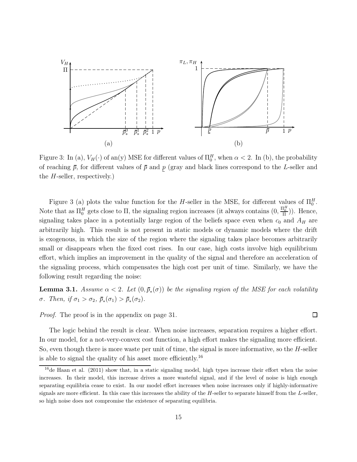

Figure 3: In (a),  $V_H(\cdot)$  of an(y) MSE for different values of  $\Pi_0^H$ , when  $\alpha < 2$ . In (b), the probability of reaching  $\bar{p}$ , for different values of  $\bar{p}$  and  $p$  (gray and black lines correspond to the L-seller and the  $H$ -seller, respectively.)

Figure 3 (a) plots the value function for the H-seller in the MSE, for different values of  $\Pi_0^H$ . Note that as  $\Pi_0^H$  gets close to  $\Pi$ , the signaling region increases (it always contains  $(0, \frac{\Pi_0^H}{\Pi})$ ). Hence, signaling takes place in a potentially large region of the beliefs space even when  $c_0$  and  $A_H$  are arbitrarily high. This result is not present in static models or dynamic models where the drift is exogenous, in which the size of the region where the signaling takes place becomes arbitrarily small or disappears when the fixed cost rises. In our case, high costs involve high equilibrium effort, which implies an improvement in the quality of the signal and therefore an acceleration of the signaling process, which compensates the high cost per unit of time. Similarly, we have the following result regarding the noise:

**Lemma 3.1.** Assume  $\alpha < 2$ . Let  $(0, \bar{p}_*(\sigma))$  be the signaling region of the MSE for each volatility σ. Then, if  $\sigma_1 > \sigma_2$ ,  $\bar{p}_*(\sigma_1) > \bar{p}_*(\sigma_2)$ .

Proof. The proof is in the appendix on page 31.

The logic behind the result is clear. When noise increases, separation requires a higher effort. In our model, for a not-very-convex cost function, a high effort makes the signaling more efficient. So, even though there is more waste per unit of time, the signal is more informative, so the H-seller is able to signal the quality of his asset more efficiently.<sup>16</sup>

<sup>&</sup>lt;sup>16</sup>de Haan et al. (2011) show that, in a static signaling model, high types increase their effort when the noise increases. In their model, this increase drives a more wasteful signal, and if the level of noise is high enough separating equilibria cease to exist. In our model effort increases when noise increases only if highly-informative signals are more efficient. In this case this increases the ability of the  $H$ -seller to separate himself from the  $L$ -seller, so high noise does not compromise the existence of separating equilibria.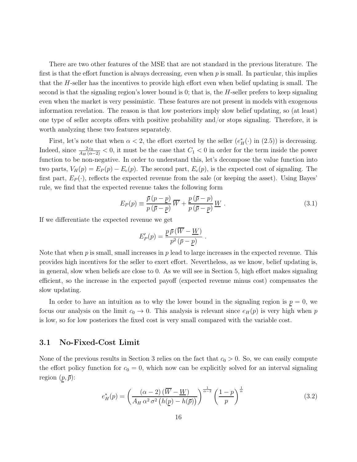There are two other features of the MSE that are not standard in the previous literature. The first is that the effort function is always decreasing, even when  $p$  is small. In particular, this implies that the H-seller has the incentives to provide high effort even when belief updating is small. The second is that the signaling region's lower bound is 0; that is, the  $H$ -seller prefers to keep signaling even when the market is very pessimistic. These features are not present in models with exogenous information revelation. The reason is that low posteriors imply slow belief updating, so (at least) one type of seller accepts offers with positive probability and/or stops signaling. Therefore, it is worth analyzing these two features separately.

First, let's note that when  $\alpha < 2$ , the effort exerted by the seller  $(e_H^*(\cdot)$  in  $(2.5))$  is decreasing. Indeed, since  $\frac{2c_0}{A_H(\alpha-2)} < 0$ , it must be the case that  $C_1 < 0$  in order for the term inside the power function to be non-negative. In order to understand this, let's decompose the value function into two parts,  $V_H(p) = E_P(p) - E_c(p)$ . The second part,  $E_c(p)$ , is the expected cost of signaling. The first part,  $E_P(\cdot)$ , reflects the expected revenue from the sale (or keeping the asset). Using Bayes' rule, we find that the expected revenue takes the following form

$$
E_P(p) \equiv \frac{\bar{p}(p-p)}{p(\bar{p}-p)} \overline{W} + \frac{p(\bar{p}-p)}{p(\bar{p}-p)} \underline{W} . \qquad (3.1)
$$

If we differentiate the expected revenue we get

$$
E'_P(p) = \frac{p \bar{p} (W - W)}{p^2 (\bar{p} - \underline{p})}.
$$

Note that when  $p$  is small, small increases in  $p$  lead to large increases in the expected revenue. This provides high incentives for the seller to exert effort. Nevertheless, as we know, belief updating is, in general, slow when beliefs are close to 0. As we will see in Section 5, high effort makes signaling efficient, so the increase in the expected payoff (expected revenue minus cost) compensates the slow updating.

In order to have an intuition as to why the lower bound in the signaling region is  $p = 0$ , we focus our analysis on the limit  $c_0 \to 0$ . This analysis is relevant since  $e_H(p)$  is very high when p is low, so for low posteriors the fixed cost is very small compared with the variable cost.

### 3.1 No-Fixed-Cost Limit

None of the previous results in Section 3 relies on the fact that  $c_0 > 0$ . So, we can easily compute the effort policy function for  $c_0 = 0$ , which now can be explicitly solved for an interval signaling region  $(p, \bar{p})$ :

$$
e_H^*(p) = \left(\frac{(\alpha - 2)\left(\overline{W} - \underline{W}\right)}{A_H \alpha^2 \sigma^2 \left(h(\underline{p}) - h(\overline{p})\right)}\right)^{\frac{1}{\alpha - 2}} \left(\frac{1 - p}{p}\right)^{\frac{1}{\alpha}}\tag{3.2}
$$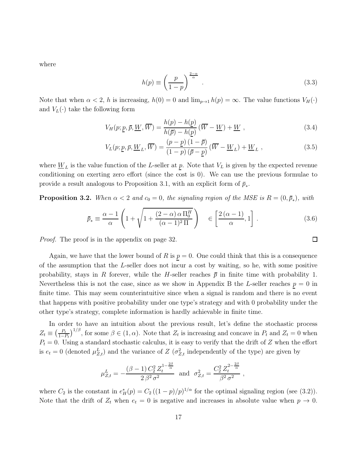where

$$
h(p) \equiv \left(\frac{p}{1-p}\right)^{\frac{2-\alpha}{\alpha}}.
$$
\n(3.3)

 $\Box$ 

Note that when  $\alpha < 2$ , h is increasing,  $h(0) = 0$  and  $\lim_{p\to 1} h(p) = \infty$ . The value functions  $V_H(\cdot)$ and  $V_L(\cdot)$  take the following form

$$
V_H(p; \underline{p}, \bar{p}, \underline{W}, \overline{W}) = \frac{h(p) - h(\underline{p})}{h(\bar{p}) - h(\underline{p})} (\overline{W} - \underline{W}) + \underline{W} ,
$$
\n(3.4)

$$
V_L(p; \underline{p}, \overline{p}, \underline{W}_L, \overline{W}) = \frac{(p - \underline{p}) (1 - \overline{p})}{(1 - p) (\overline{p} - \underline{p})} (\overline{W} - \underline{W}_L) + \underline{W}_L ,
$$
\n(3.5)

where  $W_L$  is the value function of the L-seller at p. Note that  $V_L$  is given by the expected revenue conditioning on exerting zero effort (since the cost is 0). We can use the previous formulae to provide a result analogous to Proposition 3.1, with an explicit form of  $\bar{p}_*.$ 

**Proposition 3.2.** When  $\alpha < 2$  and  $c_0 = 0$ , the signaling region of the MSE is  $R = (0, \bar{p}_*)$ , with

$$
\bar{p}_{*} \equiv \frac{\alpha - 1}{\alpha} \left( 1 + \sqrt{1 + \frac{(2 - \alpha) \alpha \Pi_0^H}{(\alpha - 1)^2 \Pi}} \right) \quad \in \left[ \frac{2 (\alpha - 1)}{\alpha}, 1 \right]. \tag{3.6}
$$

Proof. The proof is in the appendix on page 32.

Again, we have that the lower bound of R is  $p = 0$ . One could think that this is a consequence of the assumption that the L-seller does not incur a cost by waiting, so he, with some positive probability, stays in R forever, while the H-seller reaches  $\bar{p}$  in finite time with probability 1. Nevertheless this is not the case, since as we show in Appendix B the L-seller reaches  $p = 0$  in finite time. This may seem counterintuitive since when a signal is random and there is no event that happens with positive probability under one type's strategy and with 0 probability under the other type's strategy, complete information is hardly achievable in finite time.

In order to have an intuition about the previous result, let's define the stochastic process  $Z_t \equiv \left(\frac{P_t}{1-P_t}\right)^{1/\beta}$ , for some  $\beta \in (1,\alpha)$ . Note that  $Z_t$  is increasing and concave in  $P_t$  and  $Z_t = 0$  when  $P_t = 0$ . Using a standard stochastic calculus, it is easy to verify that the drift of Z when the effort is  $e_t = 0$  (denoted  $\mu_{Z,t}^L$ ) and the variance of  $Z(\sigma_{Z,t}^2)$  independently of the type) are given by

$$
\mu_{Z,t}^L = -\frac{(\beta - 1) C_2^2 Z_t^{1 - \frac{2\beta}{\alpha}}}{2 \beta^2 \sigma^2} \text{ and } \sigma_{Z,t}^2 = \frac{C_2^2 Z_t^{2 - \frac{2\beta}{\alpha}}}{\beta^2 \sigma^2} ,
$$

where  $C_2$  is the constant in  $e_H^*(p) = C_2 ((1-p)/p)^{1/\alpha}$  for the optimal signaling region (see (3.2)). Note that the drift of  $Z_t$  when  $e_t = 0$  is negative and increases in absolute value when  $p \to 0$ .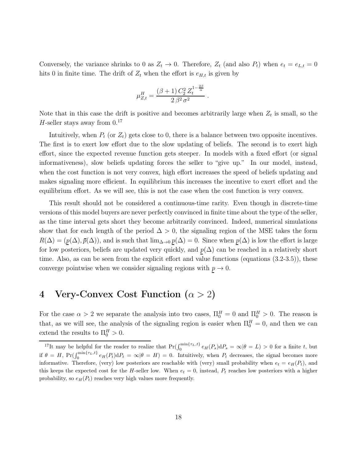Conversely, the variance shrinks to 0 as  $Z_t \to 0$ . Therefore,  $Z_t$  (and also  $P_t$ ) when  $e_t = e_{L,t} = 0$ hits 0 in finite time. The drift of  $Z_t$  when the effort is  $e_{H,t}$  is given by

$$
\mu^H_{Z,t} = \frac{\left(\beta+1\right)C_2^2\,Z_t^{1-\frac{2\beta}{\alpha}}}{2\,\beta^2\,\sigma^2}\;.
$$

Note that in this case the drift is positive and becomes arbitrarily large when  $Z_t$  is small, so the  $H$ -seller stays away from  $0.17$ 

Intuitively, when  $P_t$  (or  $Z_t$ ) gets close to 0, there is a balance between two opposite incentives. The first is to exert low effort due to the slow updating of beliefs. The second is to exert high effort, since the expected revenue function gets steeper. In models with a fixed effort (or signal informativeness), slow beliefs updating forces the seller to "give up." In our model, instead, when the cost function is not very convex, high effort increases the speed of beliefs updating and makes signaling more efficient. In equilibrium this increases the incentive to exert effort and the equilibrium effort. As we will see, this is not the case when the cost function is very convex.

This result should not be considered a continuous-time rarity. Even though in discrete-time versions of this model buyers are never perfectly convinced in finite time about the type of the seller, as the time interval gets short they become arbitrarily convinced. Indeed, numerical simulations show that for each length of the period  $\Delta > 0$ , the signaling region of the MSE takes the form  $R(\Delta) = (p(\Delta), \bar{p}(\Delta))$ , and is such that  $\lim_{\Delta \to 0} p(\Delta) = 0$ . Since when  $p(\Delta)$  is low the effort is large for low posteriors, beliefs are updated very quickly, and  $p(\Delta)$  can be reached in a relatively short time. Also, as can be seen from the explicit effort and value functions (equations (3.2-3.5)), these converge pointwise when we consider signaling regions with  $p \to 0$ .

### 4 Very-Convex Cost Function  $(\alpha > 2)$

For the case  $\alpha > 2$  we separate the analysis into two cases,  $\Pi_0^H = 0$  and  $\Pi_0^H > 0$ . The reason is that, as we will see, the analysis of the signaling region is easier when  $\Pi_0^H = 0$ , and then we can extend the results to  $\Pi_0^H > 0$ .

<sup>&</sup>lt;sup>17</sup>It may be helpful for the reader to realize that  $Pr(\int_0^{\min\{\tau_L, t\}} e_H(P_s) dP_s = \infty | \theta = L) > 0$  for a finite t, but if  $\theta = H$ ,  $Pr(\int_0^{\min\{\tau_L, t\}} e_H(P_t) dP_t = \infty | \theta = H) = 0$ . Intuitively, when  $P_t$  decreases, the signal becomes more informative. Therefore, (very) low posteriors are reachable with (very) small probability when  $e_t = e_H(P_t)$ , and this keeps the expected cost for the H-seller low. When  $e_t = 0$ , instead,  $P_t$  reaches low posteriors with a higher probability, so  $e_H(P_t)$  reaches very high values more frequently.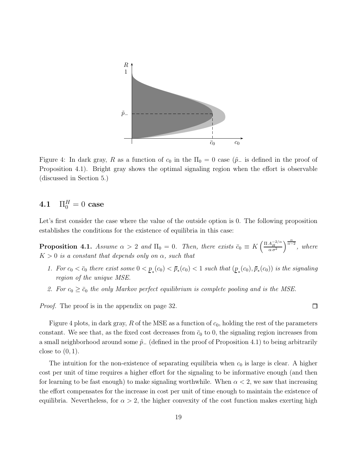

Figure 4: In dark gray, R as a function of  $c_0$  in the  $\Pi_0 = 0$  case ( $\tilde{p}_-$  is defined in the proof of Proposition 4.1). Bright gray shows the optimal signaling region when the effort is observable (discussed in Section 5.)

# $\mathbf{4.1} \quad \Pi_0^H=0 \,\, \mathbf{case}$

Let's first consider the case where the value of the outside option is 0. The following proposition establishes the conditions for the existence of equilibria in this case:

**Proposition 4.1.** Assume  $\alpha > 2$  and  $\Pi_0 = 0$ . Then, there exists  $\bar{c}_0 \equiv K \left( \frac{\Pi A_H^{-2/\alpha}}{\alpha \sigma^2} \right)^{\frac{\alpha}{\alpha-2}}$ , where  $K > 0$  is a constant that depends only on  $\alpha$ , such that

- 1. For  $c_0 < \bar{c}_0$  there exist some  $0 < \underline{p}_*(c_0) < \bar{p}_*(c_0) < 1$  such that  $(\underline{p}_*(c_0), \bar{p}_*(c_0))$  is the signaling region of the unique MSE.
- 2. For  $c_0 \geq \bar{c}_0$  the only Markov perfect equilibrium is complete pooling and is the MSE.

Proof. The proof is in the appendix on page 32.

Figure 4 plots, in dark gray, R of the MSE as a function of  $c_0$ , holding the rest of the parameters constant. We see that, as the fixed cost decreases from  $\bar{c}_0$  to 0, the signaling region increases from a small neighborhood around some  $\tilde{p}$ − (defined in the proof of Proposition 4.1) to being arbitrarily close to  $(0, 1)$ .

The intuition for the non-existence of separating equilibria when  $c_0$  is large is clear. A higher cost per unit of time requires a higher effort for the signaling to be informative enough (and then for learning to be fast enough) to make signaling worthwhile. When  $\alpha < 2$ , we saw that increasing the effort compensates for the increase in cost per unit of time enough to maintain the existence of equilibria. Nevertheless, for  $\alpha > 2$ , the higher convexity of the cost function makes exerting high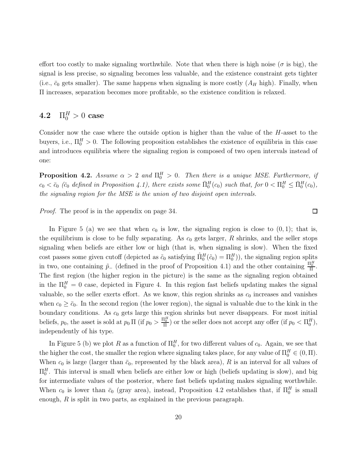effort too costly to make signaling worthwhile. Note that when there is high noise ( $\sigma$  is big), the signal is less precise, so signaling becomes less valuable, and the existence constraint gets tighter (i.e.,  $\bar{c}_0$  gets smaller). The same happens when signaling is more costly  $(A_H \text{ high})$ . Finally, when Π increases, separation becomes more profitable, so the existence condition is relaxed.

# $4.2\quad \Pi_0^H>0\,\, {\rm case}$

Consider now the case where the outside option is higher than the value of the  $H$ -asset to the buyers, i.e.,  $\Pi_0^H > 0$ . The following proposition establishes the existence of equilibria in this case and introduces equilibria where the signaling region is composed of two open intervals instead of one:

**Proposition 4.2.** Assume  $\alpha > 2$  and  $\Pi_0^H > 0$ . Then there is a unique MSE. Furthermore, if  $c_0 < \bar{c}_0$  ( $\bar{c}_0$  defined in Proposition 4.1), there exists some  $\bar{\Pi}_0^H(c_0)$  such that, for  $0 < \Pi_0^H \leq \bar{\Pi}_0^H(c_0)$ , the signaling region for the MSE is the union of two disjoint open intervals.

Proof. The proof is in the appendix on page 34.

In Figure 5 (a) we see that when  $c_0$  is low, the signaling region is close to  $(0, 1)$ ; that is, the equilibrium is close to be fully separating. As  $c_0$  gets larger, R shrinks, and the seller stops signaling when beliefs are either low or high (that is, when signaling is slow). When the fixed cost passes some given cutoff (depicted as  $\tilde{c}_0$  satisfying  $\hat{\Pi}_0^H(\tilde{c}_0) = \Pi_0^H$ )), the signaling region splits in two, one containing  $\tilde{p}_-$  (defined in the proof of Proposition 4.1) and the other containing  $\frac{\Pi_0^H}{\Pi}$ . The first region (the higher region in the picture) is the same as the signaling region obtained in the  $\Pi_0^H = 0$  case, depicted in Figure 4. In this region fast beliefs updating makes the signal valuable, so the seller exerts effort. As we know, this region shrinks as  $c_0$  increases and vanishes when  $c_0 \geq \bar{c}_0$ . In the second region (the lower region), the signal is valuable due to the kink in the boundary conditions. As  $c_0$  gets large this region shrinks but never disappears. For most initial beliefs,  $p_0$ , the asset is sold at  $p_0 \Pi$  (if  $p_0 > \frac{\Pi_0^H}{\Pi}$ ) or the seller does not accept any offer (if  $p_0 < \Pi_0^H$ ), independently of his type.

In Figure 5 (b) we plot R as a function of  $\Pi_0^H$ , for two different values of  $c_0$ . Again, we see that the higher the cost, the smaller the region where signaling takes place, for any value of  $\Pi_0^H \in (0, \Pi)$ . When  $c_0$  is large (larger than  $\bar{c}_0$ , represented by the black area), R is an interval for all values of  $\Pi_0^H$ . This interval is small when beliefs are either low or high (beliefs updating is slow), and big for intermediate values of the posterior, where fast beliefs updating makes signaling worthwhile. When  $c_0$  is lower than  $\bar{c}_0$  (gray area), instead, Proposition 4.2 establishes that, if  $\Pi_0^H$  is small enough,  $R$  is split in two parts, as explained in the previous paragraph.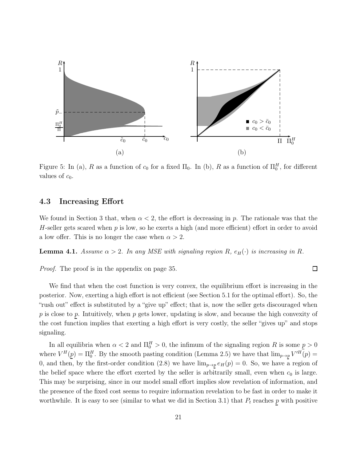

Figure 5: In (a), R as a function of  $c_0$  for a fixed  $\Pi_0$ . In (b), R as a function of  $\Pi_0^H$ , for different values of  $c_0$ .

### 4.3 Increasing Effort

We found in Section 3 that, when  $\alpha < 2$ , the effort is decreasing in p. The rationale was that the H-seller gets scared when  $p$  is low, so he exerts a high (and more efficient) effort in order to avoid a low offer. This is no longer the case when  $\alpha > 2$ .

**Lemma 4.1.** Assume  $\alpha > 2$ . In any MSE with signaling region R,  $e_H(\cdot)$  is increasing in R.

Proof. The proof is in the appendix on page 35.

We find that when the cost function is very convex, the equilibrium effort is increasing in the posterior. Now, exerting a high effort is not efficient (see Section 5.1 for the optimal effort). So, the "rush out" effect is substituted by a "give up" effect; that is, now the seller gets discouraged when  $p$  is close to  $p$ . Intuitively, when  $p$  gets lower, updating is slow, and because the high convexity of the cost function implies that exerting a high effort is very costly, the seller "gives up" and stops signaling.

In all equilibria when  $\alpha < 2$  and  $\Pi_0^H > 0$ , the infimum of the signaling region R is some  $p > 0$ where  $V^H(p) = \Pi_0^H$ . By the smooth pasting condition (Lemma 2.5) we have that  $\lim_{p\to p} V'^H(p) =$ 0, and then, by the first-order condition (2.8) we have  $\lim_{p\to p} e_H(p)=0$ . So, we have a region of the belief space where the effort exerted by the seller is arbitrarily small, even when  $c_0$  is large. This may be surprising, since in our model small effort implies slow revelation of information, and the presence of the fixed cost seems to require information revelation to be fast in order to make it worthwhile. It is easy to see (similar to what we did in Section 3.1) that  $P_t$  reaches p with positive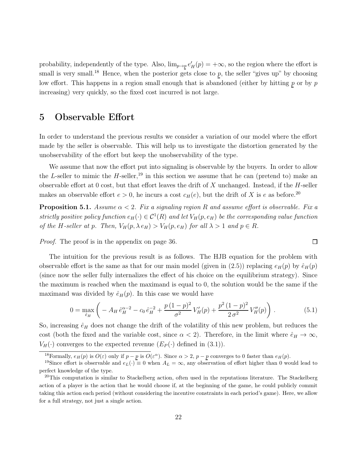probability, independently of the type. Also,  $\lim_{p\to p} e'_H(p) = +\infty$ , so the region where the effort is small is very small.<sup>18</sup> Hence, when the posterior gets close to  $\underline{p}$ , the seller "gives up" by choosing low effort. This happens in a region small enough that is abandoned (either by hitting  $p$  or by  $p$ increasing) very quickly, so the fixed cost incurred is not large.

### 5 Observable Effort

In order to understand the previous results we consider a variation of our model where the effort made by the seller is observable. This will help us to investigate the distortion generated by the unobservability of the effort but keep the unobservability of the type.

We assume that now the effort put into signaling is observable by the buyers. In order to allow the L-seller to mimic the  $H$ -seller,<sup>19</sup> in this section we assume that he can (pretend to) make an observable effort at  $0$  cost, but that effort leaves the drift of  $X$  unchanged. Instead, if the  $H$ -seller makes an observable effort  $e > 0$ , he incurs a cost  $c_H(e)$ , but the drift of X is e as before.<sup>20</sup>

**Proposition 5.1.** Assume  $\alpha < 2$ . Fix a signaling region R and assume effort is observable. Fix a strictly positive policy function  $e_H(\cdot) \in C^1(R)$  and let  $V_H(p, e_H)$  be the corresponding value function of the H-seller at p. Then,  $V_H(p, \lambda e_H) > V_H(p, e_H)$  for all  $\lambda > 1$  and  $p \in R$ .

Proof. The proof is in the appendix on page 36.

The intuition for the previous result is as follows. The HJB equation for the problem with observable effort is the same as that for our main model (given in (2.5)) replacing  $e_H(p)$  by  $\hat{e}_H(p)$ (since now the seller fully internalizes the effect of his choice on the equilibrium strategy). Since the maximum is reached when the maximand is equal to 0, the solution would be the same if the maximand was divided by  $\hat{e}_H(p)$ . In this case we would have

$$
0 = \max_{\hat{e}_H} \left( -A_H \,\hat{e}_H^{\alpha-2} - c_0 \,\hat{e}_H^{-2} + \frac{p(1-p)^2}{\sigma^2} V'_H(p) + \frac{p^2(1-p)^2}{2\,\sigma^2} V''_H(p) \right) \,. \tag{5.1}
$$

 $\Box$ 

So, increasing  $\hat{e}_H$  does not change the drift of the volatility of this new problem, but reduces the cost (both the fixed and the variable cost, since  $\alpha < 2$ ). Therefore, in the limit where  $\hat{e}_H \to \infty$ ,  $V_H(\cdot)$  converges to the expected revenue  $(E_P(\cdot)$  defined in (3.1)).

<sup>&</sup>lt;sup>18</sup>Formally,  $e_H(p)$  is  $O(\varepsilon)$  only if  $p - p$  is  $O(\varepsilon^{\alpha})$ . Since  $\alpha > 2$ ,  $p - p$  converges to 0 faster than  $e_H(p)$ .<br><sup>19</sup>Since effort is observable and  $e_L(\cdot) \equiv 0$  when  $A_L = \infty$ , any observation of effort higher than 0 perfect knowledge of the type.

<sup>&</sup>lt;sup>20</sup>This computation is similar to Stackelberg action, often used in the reputations literature. The Stackelberg action of a player is the action that he would choose if, at the beginning of the game, he could publicly commit taking this action each period (without considering the incentive constraints in each period's game). Here, we allow for a full strategy, not just a single action.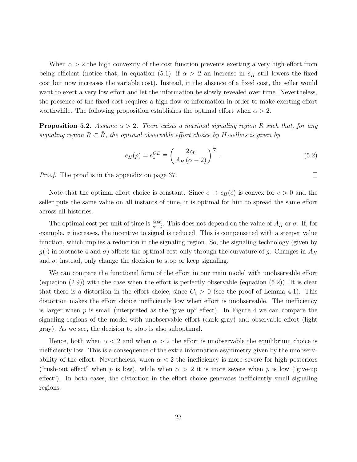When  $\alpha > 2$  the high convexity of the cost function prevents exerting a very high effort from being efficient (notice that, in equation (5.1), if  $\alpha > 2$  an increase in  $\hat{e}_H$  still lowers the fixed cost but now increases the variable cost). Instead, in the absence of a fixed cost, the seller would want to exert a very low effort and let the information be slowly revealed over time. Nevertheless, the presence of the fixed cost requires a high flow of information in order to make exerting effort worthwhile. The following proposition establishes the optimal effort when  $\alpha > 2$ .

**Proposition 5.2.** Assume  $\alpha > 2$ . There exists a maximal signaling region R such that, for any signaling region  $R \subset R$ , the optimal observable effort choice by H-sellers is given by

$$
e_H(p) = e_*^{OE} \equiv \left(\frac{2c_0}{A_H(\alpha - 2)}\right)^{\frac{1}{\alpha}}.
$$
\n
$$
(5.2)
$$

Proof. The proof is in the appendix on page 37.

Note that the optimal effort choice is constant. Since  $e \mapsto c_H(e)$  is convex for  $e > 0$  and the seller puts the same value on all instants of time, it is optimal for him to spread the same effort across all histories.

The optimal cost per unit of time is  $\frac{\alpha c_0}{\alpha - 2}$ . This does not depend on the value of  $A_H$  or  $\sigma$ . If, for example,  $\sigma$  increases, the incentive to signal is reduced. This is compensated with a steeper value function, which implies a reduction in the signaling region. So, the signaling technology (given by  $g(\cdot)$  in footnote 4 and  $\sigma$ ) affects the optimal cost only through the curvature of g. Changes in  $A_H$ and  $\sigma$ , instead, only change the decision to stop or keep signaling.

We can compare the functional form of the effort in our main model with unobservable effort (equation  $(2.9)$ ) with the case when the effort is perfectly observable (equation  $(5.2)$ ). It is clear that there is a distortion in the effort choice, since  $C_1 > 0$  (see the proof of Lemma 4.1). This distortion makes the effort choice inefficiently low when effort is unobservable. The inefficiency is larger when  $p$  is small (interpreted as the "give up" effect). In Figure 4 we can compare the signaling regions of the model with unobservable effort (dark gray) and observable effort (light gray). As we see, the decision to stop is also suboptimal.

Hence, both when  $\alpha < 2$  and when  $\alpha > 2$  the effort is unobservable the equilibrium choice is inefficiently low. This is a consequence of the extra information asymmetry given by the unobservability of the effort. Nevertheless, when  $\alpha < 2$  the inefficiency is more severe for high posteriors ("rush-out effect" when p is low), while when  $\alpha > 2$  it is more severe when p is low ("give-up") effect"). In both cases, the distortion in the effort choice generates inefficiently small signaling regions.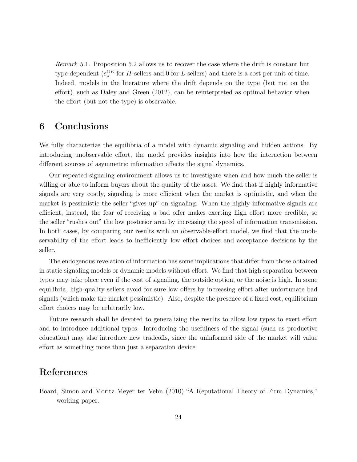Remark 5.1. Proposition 5.2 allows us to recover the case where the drift is constant but type dependent  $(e_*^{OE}$  for H-sellers and 0 for L-sellers) and there is a cost per unit of time. Indeed, models in the literature where the drift depends on the type (but not on the effort), such as Daley and Green (2012), can be reinterpreted as optimal behavior when the effort (but not the type) is observable.

### 6 Conclusions

We fully characterize the equilibria of a model with dynamic signaling and hidden actions. By introducing unobservable effort, the model provides insights into how the interaction between different sources of asymmetric information affects the signal dynamics.

Our repeated signaling environment allows us to investigate when and how much the seller is willing or able to inform buyers about the quality of the asset. We find that if highly informative signals are very costly, signaling is more efficient when the market is optimistic, and when the market is pessimistic the seller "gives up" on signaling. When the highly informative signals are efficient, instead, the fear of receiving a bad offer makes exerting high effort more credible, so the seller "rushes out" the low posterior area by increasing the speed of information transmission. In both cases, by comparing our results with an observable-effort model, we find that the unobservability of the effort leads to inefficiently low effort choices and acceptance decisions by the seller.

The endogenous revelation of information has some implications that differ from those obtained in static signaling models or dynamic models without effort. We find that high separation between types may take place even if the cost of signaling, the outside option, or the noise is high. In some equilibria, high-quality sellers avoid for sure low offers by increasing effort after unfortunate bad signals (which make the market pessimistic). Also, despite the presence of a fixed cost, equilibrium effort choices may be arbitrarily low.

Future research shall be devoted to generalizing the results to allow low types to exert effort and to introduce additional types. Introducing the usefulness of the signal (such as productive education) may also introduce new tradeoffs, since the uninformed side of the market will value effort as something more than just a separation device.

# References

Board, Simon and Moritz Meyer ter Vehn (2010) "A Reputational Theory of Firm Dynamics," working paper.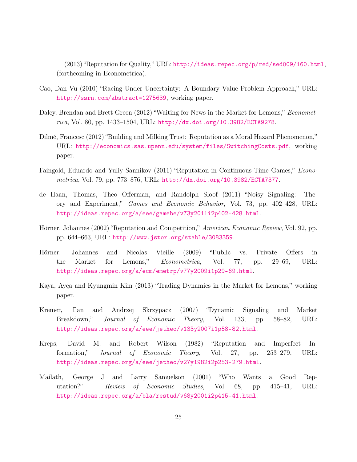(2013) "Reputation for Quality," URL: http://ideas.repec.org/p/red/sed009/160.html, (forthcoming in Econometrica).

- Cao, Dan Vu (2010) "Racing Under Uncertainty: A Boundary Value Problem Approach," URL: http://ssrn.com/abstract=1275639, working paper.
- Daley, Brendan and Brett Green (2012) "Waiting for News in the Market for Lemons," *Economet*rica, Vol. 80, pp. 1433–1504, URL: http://dx.doi.org/10.3982/ECTA9278.
- Dilmé, Francesc (2012) "Building and Milking Trust: Reputation as a Moral Hazard Phenomenon," URL: http://economics.sas.upenn.edu/system/files/SwitchingCosts.pdf, working paper.
- Faingold, Eduardo and Yuliy Sannikov (2011) "Reputation in Continuous-Time Games," *Econo*metrica, Vol. 79, pp. 773–876, URL: http://dx.doi.org/10.3982/ECTA7377.
- de Haan, Thomas, Theo Offerman, and Randolph Sloof (2011) "Noisy Signaling: Theory and Experiment," Games and Economic Behavior, Vol. 73, pp. 402–428, URL: http://ideas.repec.org/a/eee/gamebe/v73y2011i2p402-428.html.
- Hörner, Johannes (2002) "Reputation and Competition," American Economic Review, Vol. 92, pp. pp. 644–663, URL: http://www.jstor.org/stable/3083359.
- Hörner, Johannes and Nicolas Vieille (2009) "Public vs. Private Offers in the Market for Lemons," Econometrica, Vol. 77, pp. 29–69, URL: http://ideas.repec.org/a/ecm/emetrp/v77y2009i1p29-69.html.
- Kaya, Ayça and Kyungmin Kim (2013) "Trading Dynamics in the Market for Lemons," working paper.
- Kremer, Ilan and Andrzej Skrzypacz (2007) "Dynamic Signaling and Market Breakdown," Journal of Economic Theory, Vol. 133, pp. 58–82, URL: http://ideas.repec.org/a/eee/jetheo/v133y2007i1p58-82.html.
- Kreps, David M. and Robert Wilson (1982) "Reputation and Imperfect Information," Journal of Economic Theory, Vol. 27, pp. 253–279, URL: http://ideas.repec.org/a/eee/jetheo/v27y1982i2p253-279.html.
- Mailath, George J and Larry Samuelson (2001) "Who Wants a Good Reputation?" Review of Economic Studies, Vol. 68, pp. 415–41, URL: http://ideas.repec.org/a/bla/restud/v68y2001i2p415-41.html.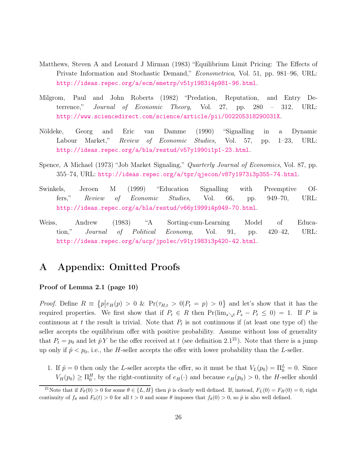- Matthews, Steven A and Leonard J Mirman (1983) "Equilibrium Limit Pricing: The Effects of Private Information and Stochastic Demand," Econometrica, Vol. 51, pp. 981–96, URL: http://ideas.repec.org/a/ecm/emetrp/v51y1983i4p981-96.html.
- Milgrom, Paul and John Roberts (1982) "Predation, Reputation, and Entry Deterrence," Journal of Economic Theory, Vol. 27, pp. 280 – 312, URL: http://www.sciencedirect.com/science/article/pii/002205318290031X.
- Nöldeke, Georg and Eric van Damme (1990) "Signalling in a Dynamic Labour Market," Review of Economic Studies, Vol. 57, pp. 1–23, URL: http://ideas.repec.org/a/bla/restud/v57y1990i1p1-23.html.
- Spence, A Michael (1973) "Job Market Signaling," *Quarterly Journal of Economics*, Vol. 87, pp. 355–74, URL: http://ideas.repec.org/a/tpr/qjecon/v87y1973i3p355-74.html.
- Swinkels, Jeroen M (1999) "Education Signalling with Preemptive Offers," Review of Economic Studies, Vol. 66, pp. 949–70, URL: http://ideas.repec.org/a/bla/restud/v66y1999i4p949-70.html.
- Weiss, Andrew (1983) "A Sorting-cum-Learning Model of Education," Journal of Political Economy, Vol. 91, pp. 420–42, URL: http://ideas.repec.org/a/ucp/jpolec/v91y1983i3p420-42.html.

### A Appendix: Omitted Proofs

### Proof of Lemma 2.1 (page 10)

*Proof.* Define  $R \equiv \{p | e_H(p) > 0 \& \Pr(\tau_{H,t} > 0 | P_t = p) > 0\}$  and let's show that it has the required properties. We first show that if  $P_t \in R$  then  $\Pr(\lim_{s\searrow t} P_s - P_t \leq 0) = 1$ . If P is continuous at t the result is trivial. Note that  $P_t$  is not continuous if (at least one type of) the seller accepts the equilibrium offer with positive probability. Assume without loss of generality that  $P_t = p_0$  and let  $\hat{p} Y$  be the offer received at t (see definition 2.1<sup>21</sup>). Note that there is a jump up only if  $\hat{p} < p_0$ , i.e., the H-seller accepts the offer with lower probability than the L-seller.

1. If  $\hat{p} = 0$  then only the L-seller accepts the offer, so it must be that  $V_L(p_0) = \Pi_0^L = 0$ . Since  $V_H(p_0) \geq \prod_0^H$ , by the right-continuity of  $e_H(\cdot)$  and because  $e_H(p_0) > 0$ , the H-seller should

<sup>&</sup>lt;sup>21</sup>Note that if  $F_{\theta}(0) > 0$  for some  $\theta \in \{L, H\}$  then  $\hat{p}$  is clearly well defined. If, instead,  $F_L(0) = F_H(0) = 0$ , right continuity of  $f_\theta$  and  $F_\theta(t) > 0$  for all  $t > 0$  and some  $\theta$  imposes that  $f_\theta(0) > 0$ , so  $\hat{p}$  is also well defined.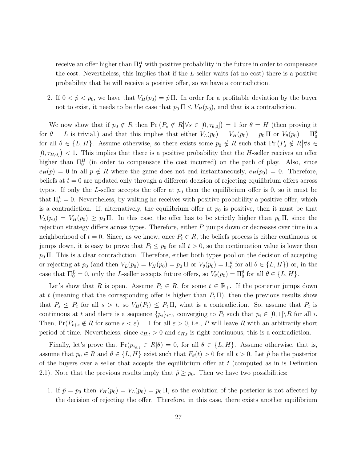receive an offer higher than  $\Pi_0^H$  with positive probability in the future in order to compensate the cost. Nevertheless, this implies that if the  $L$ -seller waits (at no cost) there is a positive probability that he will receive a positive offer, so we have a contradiction.

2. If  $0 < \hat{p} < p_0$ , we have that  $V_H(p_0) = \hat{p} \Pi$ . In order for a profitable deviation by the buyer not to exist, it needs to be the case that  $p_0 \Pi \leq V_H(p_0)$ , and that is a contradiction.

We now show that if  $p_0 \notin R$  then  $\Pr (P_s \notin R | \forall s \in [0, \tau_{\theta,0}]) = 1$  for  $\theta = H$  (then proving it for  $\theta = L$  is trivial,) and that this implies that either  $V_L(p_0) = V_H(p_0) = p_0 \Pi$  or  $V_{\theta}(p_0) = \Pi_0^{\theta}$ for all  $\theta \in \{L, H\}$ . Assume otherwise, so there exists some  $p_0 \notin R$  such that  $Pr(P_s \notin R | \forall s \in R)$  $[0, \tau_{H,0}]$  < 1. This implies that there is a positive probability that the *H*-seller receives an offer higher than  $\Pi_0^H$  (in order to compensate the cost incurred) on the path of play. Also, since  $e_H(p)=0$  in all  $p \notin R$  where the game does not end instantaneously,  $e_H(p_0)=0$ . Therefore, beliefs at  $t = 0$  are updated only through a different decision of rejecting equilibrium offers across types. If only the L-seller accepts the offer at  $p_0$  then the equilibrium offer is 0, so it must be that  $\Pi_0^L = 0$ . Nevertheless, by waiting he receives with positive probability a positive offer, which is a contradiction. If, alternatively, the equilibrium offer at  $p_0$  is positive, then it must be that  $V_L(p_0) = V_H(p_0) \geq p_0 \Pi$ . In this case, the offer has to be strictly higher than  $p_0 \Pi$ , since the rejection strategy differs across types. Therefore, either  $P$  jumps down or decreases over time in a neighborhood of  $t = 0$ . Since, as we know, once  $P_t \in R$ , the beliefs process is either continuous or jumps down, it is easy to prove that  $P_t \leq p_0$  for all  $t > 0$ , so the continuation value is lower than  $p_0$  Π. This is a clear contradiction. Therefore, either both types pool on the decision of accepting or rejecting at  $p_0$  (and then  $V_L(p_0) = V_H(p_0) = p_0 \Pi$  or  $V_\theta(p_0) = \Pi_0^\theta$  for all  $\theta \in \{L, H\}$ ) or, in the case that  $\Pi_0^L = 0$ , only the L-seller accepts future offers, so  $V_\theta(p_0) = \Pi_0^\theta$  for all  $\theta \in \{L, H\}$ .

Let's show that R is open. Assume  $P_t \in R$ , for some  $t \in \mathbb{R}_+$ . If the posterior jumps down at t (meaning that the corresponding offer is higher than  $P_t \Pi$ ), then the previous results show that  $P_s \leq P_t$  for all  $s > t$ , so  $V_H(P_t) \leq P_t \Pi$ , what is a contradiction. So, assume that  $P_t$  is continuous at t and there is a sequence  $\{p_i\}_{i\in\mathbb{N}}$  converging to  $P_t$  such that  $p_i \in [0,1]\backslash R$  for all i. Then,  $Pr(P_{t+s} \notin R$  for some  $s < \varepsilon) = 1$  for all  $\varepsilon > 0$ , i.e., P will leave R with an arbitrarily short period of time. Nevertheless, since  $e_{H,t} > 0$  and  $e_{H,t}$  is right-continuous, this is a contradiction.

Finally, let's prove that  $Pr(p_{\tau_{\theta,t}} \in R | \theta) = 0$ , for all  $\theta \in \{L, H\}$ . Assume otherwise, that is, assume that  $p_0 \in R$  and  $\theta \in \{L, H\}$  exist such that  $F_{\theta}(t) > 0$  for all  $t > 0$ . Let  $\hat{p}$  be the posterior of the buyers over a seller that accepts the equilibrium offer at  $t$  (computed as in is Definition 2.1). Note that the previous results imply that  $\hat{p} \geq p_0$ . Then we have two possibilities:

1. If  $\hat{p} = p_0$  then  $V_H(p_0) = V_L(p_0) = p_0 \Pi$ , so the evolution of the posterior is not affected by the decision of rejecting the offer. Therefore, in this case, there exists another equilibrium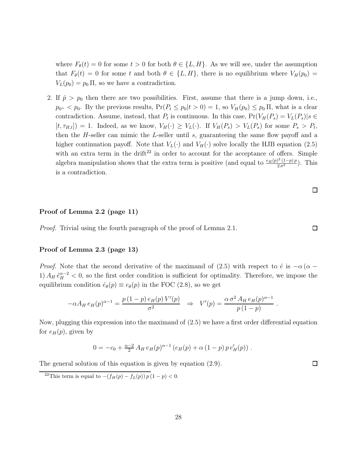where  $F_{\theta}(t)=0$  for some  $t > 0$  for both  $\theta \in \{L, H\}$ . As we will see, under the assumption that  $F_{\theta}(t)=0$  for some t and both  $\theta \in \{L, H\}$ , there is no equilibrium where  $V_H(p_0)$  =  $V_L(p_0) = p_0 \Pi$ , so we have a contradiction.

2. If  $\hat{p} > p_0$  then there are two possibilities. First, assume that there is a jump down, i.e.,  $p_{0+} < p_0$ . By the previous results,  $Pr(P_t \leq p_0 | t > 0) = 1$ , so  $V_H(p_0) \leq p_0 \Pi$ , what is a clear contradiction. Assume, instead, that  $P_t$  is continuous. In this case,  $Pr(V_H(P_s) = V_L(P_s)|s \in$  $[t, \tau_{H,t}]$  = 1. Indeed, as we know,  $V_H(\cdot) \geq V_L(\cdot)$ . If  $V_H(P_s) > V_L(P_s)$  for some  $P_s > P_t$ , then the H-seller can mimic the L-seller until s, guaranteeing the same flow payoff and a higher continuation payoff. Note that  $V_L(\cdot)$  and  $V_H(\cdot)$  solve locally the HJB equation (2.5) with an extra term in the drift<sup>22</sup> in order to account for the acceptance of offers. Simple algebra manipulation shows that the extra term is positive (and equal to  $\frac{e_H(p)^2(1-p)p}{2\sigma^2}$ ). This is a contradiction.

 $\Box$ 

 $\Box$ 

### Proof of Lemma 2.2 (page 11)

Proof. Trivial using the fourth paragraph of the proof of Lemma 2.1.

### Proof of Lemma 2.3 (page 13)

*Proof.* Note that the second derivative of the maximand of (2.5) with respect to  $\hat{e}$  is  $-\alpha$  ( $\alpha$  − 1)  $A_H \hat{e}^{\alpha-2}_H < 0$ , so the first order condition is sufficient for optimality. Therefore, we impose the equilibrium condition  $\hat{e}_{\theta}(p) \equiv e_{\theta}(p)$  in the FOC (2.8), so we get

$$
-\alpha A_H e_H(p)^{\alpha - 1} = \frac{p(1 - p) e_H(p) V'(p)}{\sigma^2} \Rightarrow V'(p) = \frac{\alpha \sigma^2 A_H e_H(p)^{\alpha - 1}}{p(1 - p)}.
$$

Now, plugging this expression into the maximand of (2.5) we have a first order differential equation for  $e_H(p)$ , given by

$$
0 = -c_0 + \frac{\alpha - 2}{2} A_H e_H(p)^{\alpha - 1} (e_H(p) + \alpha (1 - p) p e'_H(p)).
$$

The general solution of this equation is given by equation (2.9).

<sup>&</sup>lt;sup>22</sup>This term is equal to  $-(f_H(p) - f_L(p)) p (1-p) < 0$ .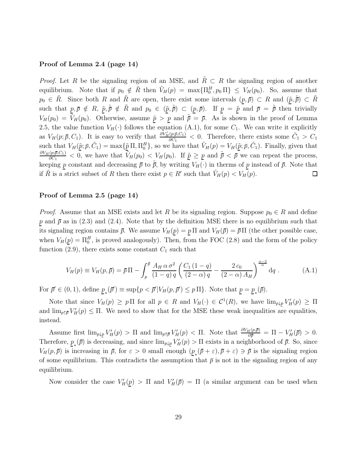### Proof of Lemma 2.4 (page 14)

*Proof.* Let R be the signaling region of an MSE, and  $\tilde{R} \subset R$  the signaling region of another equilibrium. Note that if  $p_0 \notin \tilde{R}$  then  $\tilde{V}_H(p) = \max\{\Pi_0^H, p_0 \Pi\} \leq V_H(p_0)$ . So, assume that  $p_0 \in \tilde{R}$ . Since both R and  $\tilde{R}$  are open, there exist some intervals  $(p, \bar{p}) \subset R$  and  $(\tilde{p}, \tilde{\bar{p}}) \subset \tilde{R}$ such that  $p, \bar{p} \notin R$ ,  $\tilde{p}, \tilde{\bar{p}} \notin \tilde{R}$  and  $p_0 \in (\tilde{p}, \tilde{\bar{p}}) \subset (p, \bar{p})$ . If  $p = \tilde{p}$  and  $\bar{p} = \tilde{\bar{p}}$  then trivially  $V_H(p_0) = \tilde{V}_H(p_0)$ . Otherwise, assume  $\tilde{p} > p$  and  $\tilde{\bar{p}} = \bar{p}$ . As is shown in the proof of Lemma 2.5, the value function  $V_H(\cdot)$  follows the equation (A.1), for some  $C_1$ . We can write it explicitly as  $V_H(p; \bar{p}, C_1)$ . It is easy to verify that  $\frac{\partial V'_H(p; \bar{p}, C_1)}{\partial C_1} < 0$ . Therefore, there exists some  $\tilde{C}_1 > C_1$ such that  $V_H(\tilde{p}; \bar{p}, \tilde{C}_1) = \max{\{\tilde{p} \Pi, \Pi_0^H\}}$ , so we have that  $\tilde{V}_H(p) = V_H(\tilde{p}; \bar{p}, \tilde{C}_1)$ . Finally, given that  $\frac{\partial V_H(p;\bar{p},C_1)}{\partial C_1} < 0$ , we have that  $\tilde{V}_H(p_0) < V_H(p_0)$ . If  $\underline{\tilde{p}} \ge \underline{p}$  and  $\tilde{\bar{p}} < \bar{p}$  we can repeat the process, keeping p constant and decreasing  $\bar{p}$  to  $\tilde{p}$ , by writing  $V_H(\cdot)$  in therms of p instead of  $\bar{p}$ . Note that if R is a strict subset of R then there exist  $p \in R'$  such that  $V_H(p) < V_H(p)$ .  $\Box$ 

### Proof of Lemma 2.5 (page 14)

*Proof.* Assume that an MSE exists and let R be its signaling region. Suppose  $p_0 \in R$  and define p and  $\bar{p}$  as in (2.3) and (2.4). Note that by the definition MSE there is no equilibrium such that its signaling region contains  $\bar{p}$ . We assume  $V_H(p) = p \Pi$  and  $V_H(\bar{p}) = \bar{p} \Pi$  (the other possible case, when  $V_H(p) = \Pi_0^H$ , is proved analogously). Then, from the FOC (2.8) and the form of the policy function (2.9), there exists some constant  $C_1$  such that

$$
V_H(p) \equiv V_H(p, \bar{p}) = \bar{p} \Pi - \int_p^{\bar{p}} \frac{A_H \alpha \sigma^2}{(1-q) q} \left( \frac{C_1 (1-q)}{(2-\alpha) q} - \frac{2 c_0}{(2-\alpha) A_H} \right)^{\frac{\alpha-2}{\alpha}} dq . \tag{A.1}
$$

For  $\bar{p}' \in (0, 1)$ , define  $\underline{p}_*(\bar{p}') \equiv \sup\{p < \bar{p}' | V_H(p, \bar{p}') \leq p \Pi\}$ . Note that  $\underline{p} = \underline{p}_*(\bar{p})$ .

Note that since  $V_H(p) \geq p \prod$  for all  $p \in R$  and  $V_H(\cdot) \in C^1(R)$ , we have  $\lim_{p \downarrow p} V'_H(p) \geq \prod$ and  $\lim_{p \uparrow \bar{p}} V_H'(p) \leq \Pi$ . We need to show that for the MSE these weak inequalities are equalities, instead.

Assume first  $\lim_{p\downarrow p} V'_H(p) > \Pi$  and  $\lim_{p\uparrow p} V'_H(p) < \Pi$ . Note that  $\frac{\partial V_H(p,\bar{p})}{\partial \bar{p}} = \Pi - V'_H(\bar{p}) > 0$ . Therefore,  $p_*(\bar{p})$  is decreasing, and since  $\lim_{p\downarrow p} V_H'(p) > \Pi$  exists in a neighborhood of  $\bar{p}$ . So, since  $V_H(p,\bar{p})$  is increasing in  $\bar{p}$ , for  $\varepsilon > 0$  small enough  $(p_*(\bar{p} + \varepsilon), \bar{p} + \varepsilon) \ni \bar{p}$  is the signaling region of some equilibrium. This contradicts the assumption that  $\bar{p}$  is not in the signaling region of any equilibrium.

Now consider the case  $V'_H(p) > \Pi$  and  $V'_H(\bar{p}) = \Pi$  (a similar argument can be used when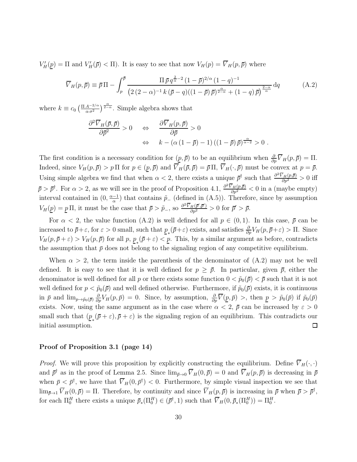$V'_H(p) = \Pi$  and  $V'_H(p) < \Pi$ ). It is easy to see that now  $V_H(p) = \overline{V}_H(p, \overline{p})$  where

$$
\overline{V}_H(p,\bar{p}) \equiv \bar{p}\,\Pi - \int_p^{\bar{p}} \frac{\Pi \,\bar{p} \, q^{\frac{2}{\alpha}-2} \,(1-\bar{p})^{2/\alpha} \,(1-q)^{-1}}{(2\,(2-\alpha)^{-1} \,k\,(\bar{p}-q)((1-\bar{p})\,\bar{p})^{\frac{\alpha}{2-\alpha}} + (1-q)\,\bar{p})^{\frac{2-\alpha}{\alpha}}} \,\mathrm{d}q \tag{A.2}
$$

where  $k \equiv c_0 \left(\frac{\Pi A^{-2/\alpha}}{\alpha \sigma^2}\right)^{\frac{\alpha}{2-\alpha}}$ . Simple algebra shows that

$$
\frac{\partial^2 \overline{V}_H(\overline{p}, \overline{p})}{\partial \overline{p}^2} > 0 \quad \Leftrightarrow \quad \frac{\partial \overline{V}_H(p, \overline{p})}{\partial \overline{p}} > 0
$$

$$
\Leftrightarrow \quad k - (\alpha (1 - \overline{p}) - 1) ((1 - \overline{p}) \overline{p})^{\frac{\alpha}{\alpha - 2}} > 0.
$$

The first condition is a necessary condition for  $(p, \bar{p})$  to be an equilibrium when  $\frac{\partial}{\partial p} \overline{V}_H(p, \bar{p}) = \Pi$ . Indeed, since  $V_H(p, \bar{p}) > p \Pi$  for  $p \in (p, \bar{p})$  and  $\overline{V}_H(\overline{p}, \overline{p}) = \overline{p} \Pi$ ,  $\overline{V}_H(\cdot, \overline{p})$  must be convex at  $p = \overline{p}$ . Using simple algebra we find that when  $\alpha < 2$ , there exists a unique  $\bar{p}^{\dagger}$  such that  $\frac{\partial^2 \bar{V}_H(p,\bar{p})}{\partial p^2} > 0$  iff  $\bar{p} > \bar{p}^{\dagger}$ . For  $\alpha > 2$ , as we will see in the proof of Proposition 4.1,  $\frac{\partial^2 \overline{V}_{H}(p,\bar{p})}{\partial p^2} < 0$  in a (maybe empty) interval contained in  $(0, \frac{\alpha-1}{\alpha})$  that contains  $\tilde{p}_-$  (defined in  $(A.5)$ ). Therefore, since by assumption  $V_H(\underline{p}) = \underline{p} \Pi$ , it must be the case that  $\bar{p} > \tilde{p}_-$ , so  $\frac{\partial^2 \overline{V}_H(\bar{p}', \bar{p}')}{\partial p^2} > 0$  for  $\bar{p}' > \bar{p}$ .

For  $\alpha < 2$ , the value function (A.2) is well defined for all  $p \in (0,1)$ . In this case,  $\bar{p}$  can be increased to  $\bar{p} + \varepsilon$ , for  $\varepsilon > 0$  small, such that  $\underline{p}_*(\bar{p} + \varepsilon)$  exists, and satisfies  $\frac{\partial}{\partial p}V_H(p, \bar{p} + \varepsilon) > \Pi$ . Since  $V_H(p,\bar{p}+\varepsilon) > V_H(p,\bar{p})$  for all  $p, p_*(\bar{p}+\varepsilon) < p$ . This, by a similar argument as before, contradicts the assumption that  $\bar{p}$  does not belong to the signaling region of any competitive equilibrium.

When  $\alpha > 2$ , the term inside the parenthesis of the denominator of  $(A.2)$  may not be well defined. It is easy to see that it is well defined for  $p \geq \bar{p}$ . In particular, given  $\bar{p}$ , either the denominator is well defined for all p or there exists some function  $0 < \tilde{p}_0(\bar{p}) < \bar{p}$  such that it is not well defined for  $p < \tilde{p}_0(\bar{p})$  and well defined otherwise. Furthermore, if  $\tilde{p}_0(\bar{p})$  exists, it is continuous in  $\bar{p}$  and  $\lim_{p\to p_0(p)} \frac{\partial}{\partial p}$  $\frac{\partial}{\partial p}V_H(p,\bar{p})=0$ . Since, by assumption,  $\frac{\partial}{\partial p}\overline{V}(p,\bar{p})$  >, then  $p > \tilde{p}_0(\bar{p})$  if  $\tilde{p}_0(\bar{p})$ exists. Now, using the same argument as in the case where  $\alpha < 2$ ,  $\bar{p}$  can be increased by  $\varepsilon > 0$ small such that  $(p_*(\bar{p}+\varepsilon), \bar{p}+\varepsilon)$  is the signaling region of an equilibrium. This contradicts our initial assumption.  $\Box$ 

### Proof of Proposition 3.1 (page 14)

*Proof.* We will prove this proposition by explicitly constructing the equilibrium. Define  $\overline{V}_H(\cdot, \cdot)$ and  $\bar{p}^{\dagger}$  as in the proof of Lemma 2.5. Since  $\lim_{\bar{p}\to 0} \bar{V}_H(0,\bar{p})=0$  and  $\bar{V}_H(p,\bar{p})$  is decreasing in  $\bar{p}$ when  $\bar{p} < \bar{p}^{\dagger}$ , we have that  $\bar{V}_H(0, \bar{p}^{\dagger}) < 0$ . Furthermore, by simple visual inspection we see that  $\lim_{\bar{p}\to 1} \bar{V}_H(0,\bar{p}) = \Pi$ . Therefore, by continuity and since  $\bar{V}_H(p,\bar{p})$  is increasing in  $\bar{p}$  when  $\bar{p} > \bar{p}^{\dagger}$ , for each  $\Pi_0^H$  there exists a unique  $\bar{p}_*(\Pi_0^H) \in (\bar{p}^{\dagger}, 1)$  such that  $\bar{V}_H(0, \bar{p}_*(\Pi_0^H)) = \Pi_0^H$ .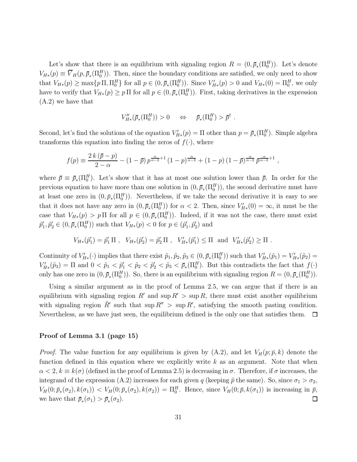Let's show that there is an equilibrium with signaling region  $R = (0, \bar{p}_*(\Pi_0^H))$ . Let's denote  $V_{H*}(p) \equiv \overline{V}_H(p, \overline{p}_*(\Pi_0^H))$ . Then, since the boundary conditions are satisfied, we only need to show that  $V_{H*}(p) \ge \max\{p\,\Pi, \Pi_0^H\}$  for all  $p \in (0, \bar{p}_*(\Pi_0^H))$ . Since  $V'_{H*}(p) > 0$  and  $V_{H*}(0) = \Pi_0^H$ , we only have to verify that  $V_{H*}(p) \ge p \prod$  for all  $p \in (0, \bar{p}_*(\Pi_0^H))$ . First, taking derivatives in the expression (A.2) we have that

$$
V''_{H*}(\bar{p}_*(\Pi_0^H)) > 0 \quad \Leftrightarrow \quad \bar{p}_*(\Pi_0^H) > \bar{p}^{\dagger}.
$$

Second, let's find the solutions of the equation  $V'_{H*}(p) = \Pi$  other than  $p = \bar{p}_*(\Pi_0^H)$ . Simple algebra transforms this equation into finding the zeros of  $f(\cdot)$ , where

$$
f(p) = \frac{2 k (\bar{p} - p)}{2 - \alpha} - (1 - \bar{p}) p^{\frac{\alpha}{\alpha - 2} + 1} (1 - p)^{\frac{\alpha}{\alpha - 2}} + (1 - p) (1 - \bar{p})^{\frac{\alpha}{\alpha - 2}} \bar{p}^{\frac{\alpha}{\alpha - 2} + 1} ,
$$

where  $\bar{p} \equiv \bar{p}_{*}(\Pi_{0}^{H})$ . Let's show that it has at most one solution lower than  $\bar{p}$ . In order for the previous equation to have more than one solution in  $(0, \bar{p}_*(\Pi_0^H))$ , the second derivative must have at least one zero in  $(0, \bar{p}_*(\Pi_0^H))$ . Nevertheless, if we take the second derivative it is easy to see that it does not have any zero in  $(0, \bar{p}_*(\Pi_0^H))$  for  $\alpha < 2$ . Then, since  $V'_{H*}(0) = \infty$ , it must be the case that  $V_{H*}(p) > p \Pi$  for all  $p \in (0, \bar{p}_*(\Pi_0^H))$ . Indeed, if it was not the case, there must exist  $\tilde{p}'_1, \tilde{p}'_2 \in (0, \bar{p}_*(\Pi_0^H))$  such that  $V_{H*}(p) < 0$  for  $p \in (\tilde{p}'_1, \tilde{p}'_2)$  and

$$
V_{H*}(\tilde{p}'_1) = \tilde{p}'_1 \Pi , V_{H*}(\tilde{p}'_2) = \tilde{p}'_2 \Pi , V'_{H*}(\tilde{p}'_1) \leq \Pi \text{ and } V'_{H*}(\tilde{p}'_2) \geq \Pi .
$$

Continuity of  $V'_{H*}(\cdot)$  implies that there exist  $\tilde{p}_1, \tilde{p}_2, \tilde{p}_3 \in (0, \bar{p}_*(\Pi_0^H))$  such that  $V'_{H*}(\tilde{p}_1) = V'_{H*}(\tilde{p}_2)$  $V'_{H*}(\tilde{p}_3) = \Pi$  and  $0 < \tilde{p}_1 < \tilde{p}'_1 < \tilde{p}_2 < \tilde{p}'_2 < \tilde{p}_3 < \bar{p}'_*(\Pi_0^H)$ . But this contradicts the fact that  $f(\cdot)$ only has one zero in  $(0, \bar{p}_*(\Pi_0^H))$ . So, there is an equilibrium with signaling region  $R = (0, \bar{p}_*(\Pi_0^H))$ .

Using a similar argument as in the proof of Lemma 2.5, we can argue that if there is an equilibrium with signaling region R' and  $\sup R' > \sup R$ , there must exist another equilibrium with signaling region  $\tilde{R}'$  such that sup  $R'' > \sup R'$ , satisfying the smooth pasting condition. Nevertheless, as we have just seen, the equilibrium defined is the only one that satisfies them.  $\Box$ 

### Proof of Lemma 3.1 (page 15)

*Proof.* The value function for any equilibrium is given by  $(A.2)$ , and let  $V_H(p; \bar{p}, k)$  denote the function defined in this equation where we explicitly write  $k$  as an argument. Note that when  $\alpha < 2$ ,  $k \equiv k(\sigma)$  (defined in the proof of Lemma 2.5) is decreasing in  $\sigma$ . Therefore, if  $\sigma$  increases, the integrand of the expression (A.2) increases for each given q (keeping  $\tilde{p}$  the same). So, since  $\sigma_1 > \sigma_2$ ,  $V_H(0; \bar{p}_*(\sigma_2), k(\sigma_1)) < V_H(0; \bar{p}_*(\sigma_2), k(\sigma_2)) = \Pi_0^H$ . Hence, since  $V_H(0; \bar{p}, k(\sigma_1))$  is increasing in  $\bar{p}$ , we have that  $\bar{p}_*(\sigma_1) > \bar{p}_*(\sigma_2)$ .  $\Box$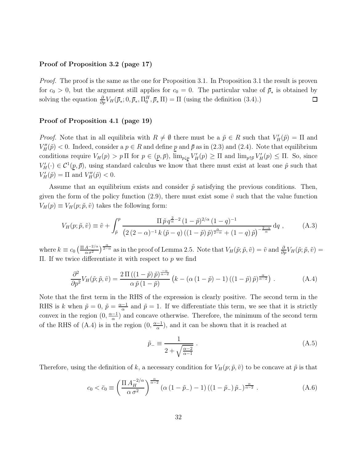### Proof of Proposition 3.2 (page 17)

Proof. The proof is the same as the one for Proposition 3.1. In Proposition 3.1 the result is proven for  $c_0 > 0$ , but the argument still applies for  $c_0 = 0$ . The particular value of  $\bar{p}_*$  is obtained by solving the equation  $\frac{\partial}{\partial p}V_H(\bar{p}_*; 0, \bar{p}_*, \Pi_0^H, \bar{p}_* \Pi) = \Pi$  (using the definition (3.4).)  $\Box$ 

#### Proof of Proposition 4.1 (page 19)

*Proof.* Note that in all equilibria with  $R \neq \emptyset$  there must be a  $\tilde{p} \in R$  such that  $V'_H(\tilde{p}) = \Pi$  and  $V_H''(\tilde{p}) < 0$ . Indeed, consider a  $p \in R$  and define p and  $\bar{p}$  as in (2.3) and (2.4). Note that equilibrium conditions require  $V_H(p) > p \prod$  for  $p \in (p, \bar{p})$ ,  $\lim_{p \downarrow p} V'_H(p) \geq \prod$  and  $\lim_{p \uparrow \bar{p}} V'_H(p) \leq \prod$ . So, since  $V_H'(\cdot) \in \mathcal{C}^1(\underline{p}, \overline{p})$ , using standard calculus we know that there must exist at least one  $\tilde{p}$  such that  $V'_H(\tilde{p}) = \Pi$  and  $V''_H(\tilde{p}) < 0$ .

Assume that an equilibrium exists and consider  $\tilde{p}$  satisfying the previous conditions. Then, given the form of the policy function (2.9), there must exist some  $\tilde{v}$  such that the value function  $V_H(p) \equiv V_H(p; \tilde{p}, \tilde{v})$  takes the following form:

$$
V_H(p; \tilde{p}, \tilde{v}) \equiv \tilde{v} + \int_{\tilde{p}}^p \frac{\Pi \, \tilde{p} \, q^{\frac{2}{\alpha} - 2} (1 - \tilde{p})^{2/\alpha} (1 - q)^{-1}}{(2 \, (2 - \alpha)^{-1} \, k \, (\tilde{p} - q) \, ((1 - \tilde{p}) \, \tilde{p})^{\frac{\alpha}{2 - \alpha}} + (1 - q) \, \tilde{p})^{-\frac{2 - \alpha}{\alpha}} dq \,,\tag{A.3}
$$

where  $k \equiv c_0 \left( \frac{\Pi A^{-2/\alpha}}{\alpha \sigma^2} \right)^{\frac{\alpha}{2-\alpha}}$  as in the proof of Lemma 2.5. Note that  $V_H(\tilde{p}; \tilde{p}, \tilde{v}) = \tilde{v}$  and  $\frac{\partial}{\partial p} V_H(\tilde{p}; \tilde{p}, \tilde{v}) =$ Π. If we twice differentiate it with respect to p we find

$$
\frac{\partial^2}{\partial p^2} V_H(\tilde{p}; \tilde{p}, \tilde{v}) = \frac{2 \Pi \left( (1 - \tilde{p}) \tilde{p} \right)^{\frac{-\alpha}{\alpha - 2}}}{\alpha \tilde{p} \left( 1 - \tilde{p} \right)} \left( k - \left( \alpha \left( 1 - \tilde{p} \right) - 1 \right) \left( \left( 1 - \tilde{p} \right) \tilde{p} \right)^{\frac{\alpha}{\alpha - 2}} \right) . \tag{A.4}
$$

Note that the first term in the RHS of the expression is clearly positive. The second term in the RHS is k when  $\tilde{p} = 0$ ,  $\tilde{p} = \frac{\alpha - 1}{\alpha}$  and  $\tilde{p} = 1$ . If we differentiate this term, we see that it is strictly convex in the region  $(0, \frac{\alpha-1}{\alpha})$  and concave otherwise. Therefore, the minimum of the second term of the RHS of (A.4) is in the region  $(0, \frac{\alpha-1}{\alpha})$ , and it can be shown that it is reached at

$$
\tilde{p}_{-} \equiv \frac{1}{2 + \sqrt{\frac{\alpha - 2}{\alpha - 1}}} \,. \tag{A.5}
$$

Therefore, using the definition of k, a necessary condition for  $V_H(p; \tilde{p}, \tilde{v})$  to be concave at  $\tilde{p}$  is that

$$
c_0 < \bar{c}_0 \equiv \left(\frac{\Pi A_H^{-2/\alpha}}{\alpha \sigma^2}\right)^{\frac{\alpha}{\alpha-2}} \left(\alpha \left(1 - \tilde{p}_-\right) - 1\right) \left(\left(1 - \tilde{p}_-\right) \tilde{p}_-\right)^{\frac{\alpha}{\alpha-2}}.\tag{A.6}
$$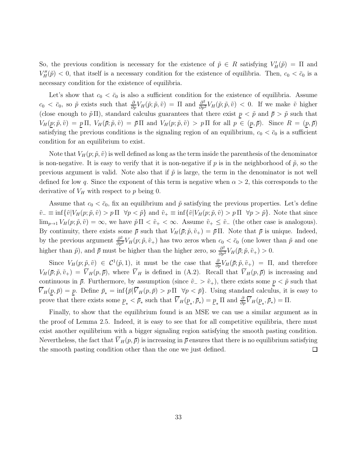So, the previous condition is necessary for the existence of  $\tilde{p} \in R$  satisfying  $V'_H(\tilde{p}) = \Pi$  and  $V_H''(\tilde{p}) < 0$ , that itself is a necessary condition for the existence of equilibria. Then,  $c_0 < \bar{c}_0$  is a necessary condition for the existence of equilibria.

Let's show that  $c_0 < \bar{c}_0$  is also a sufficient condition for the existence of equilibria. Assume  $c_0 < \bar{c}_0$ , so  $\tilde{p}$  exists such that  $\frac{\partial}{\partial p}V_H(\tilde{p};\tilde{p},\tilde{v}) = \Pi$  and  $\frac{\partial^2}{\partial p^2}V_H(\tilde{p};\tilde{p},\tilde{v}) < 0$ . If we make  $\tilde{v}$  higher (close enough to  $\tilde{p}$ Π), standard calculus guarantees that there exist  $p < \tilde{p}$  and  $\bar{p} > \tilde{p}$  such that  $V_H(p; \tilde{p}, \tilde{v}) = p \Pi, V_H(\bar{p}; \tilde{p}, \tilde{v}) = \bar{p} \Pi$  and  $V_H(p; \tilde{p}, \tilde{v}) > p \Pi$  for all  $p \in (p, \bar{p})$ . Since  $R = (p, \bar{p})$ satisfying the previous conditions is the signaling region of an equilibrium,  $c_0 < \bar{c}_0$  is a sufficient condition for an equilibrium to exist.

Note that  $V_H(p; \tilde{p}, \tilde{v})$  is well defined as long as the term inside the parenthesis of the denominator is non-negative. It is easy to verify that it is non-negative if p is in the neighborhood of  $\tilde{p}$ , so the previous argument is valid. Note also that if  $\tilde{p}$  is large, the term in the denominator is not well defined for low q. Since the exponent of this term is negative when  $\alpha > 2$ , this corresponds to the derivative of  $V_H$  with respect to p being 0.

Assume that  $c_0 < \bar{c}_0$ , fix an equilibrium and  $\tilde{p}$  satisfying the previous properties. Let's define  $\tilde{v} = \inf \{ \tilde{v} | V_H(p; \tilde{p}, \tilde{v}) > p \Pi \ \forall p < \tilde{p} \}$  and  $\tilde{v}_+ \equiv \inf \{ \tilde{v} | V_H(p; \tilde{p}, \tilde{v}) > p \Pi \ \forall p > \tilde{p} \}$ . Note that since  $\lim_{p\to 1} V_H(p;\tilde{p},\tilde{v}) = \infty$ , we have  $\tilde{p} \Pi < \tilde{v}_+ < \infty$ . Assume  $\tilde{v}_+ \leq \tilde{v}_-$  (the other case is analogous). By continuity, there exists some  $\bar{p}$  such that  $V_H(\bar{p}; \tilde{p}, \tilde{v}_+) = \bar{p} \Pi$ . Note that  $\bar{p}$  is unique. Indeed, by the previous argument  $\frac{\partial^2}{\partial p^2} V_H(p; \tilde{p}, \tilde{v}_+)$  has two zeros when  $c_0 < \bar{c}_0$  (one lower than  $\tilde{p}$  and one higher than  $\tilde{p}$ ), and  $\bar{p}$  must be higher than the higher zero, so  $\frac{\partial^2}{\partial p^2}V_H(\bar{p};\tilde{p},\tilde{v}_+) > 0$ .

Since  $V_H(p; \tilde{p}, \tilde{v}) \in C^1(\tilde{p}, 1)$ , it must be the case that  $\frac{\partial}{\partial p} V_H(\bar{p}; \tilde{p}, \tilde{v}_+) = \Pi$ , and therefore  $V_H(\bar{p}; \tilde{p}, \tilde{v}_+) = \overline{V}_H(p, \bar{p})$ , where  $\overline{V}_H$  is defined in (A.2). Recall that  $\overline{V}_H(p, \bar{p})$  is increasing and continuous in  $\bar{p}$ . Furthermore, by assumption (since  $\tilde{v}_-\geq \tilde{v}_+$ ), there exists some  $p < \tilde{p}$  such that  $\overline{V}_H(p,\overline{p}) = p.$  Define  $\overline{p}_* = \inf \{ \overline{p} | \overline{V}_H(p,\overline{p}) > p \Pi \ \forall p < \overline{p} \}.$  Using standard calculus, it is easy to prove that there exists some  $\underline{p}_* < \overline{p}_*$  such that  $\overline{V}_H(\underline{p}_*, \overline{p}_*) = \underline{p}_* \Pi$  and  $\frac{\partial}{\partial p} \overline{V}_H(\underline{p}_*, \overline{p}_*) = \Pi$ .

Finally, to show that the equilibrium found is an MSE we can use a similar argument as in the proof of Lemma 2.5. Indeed, it is easy to see that for all competitive equilibria, there must exist another equilibrium with a bigger signaling region satisfying the smooth pasting condition. Nevertheless, the fact that  $\overline{V}_H(p,\overline{p})$  is increasing in  $\overline{p}$  ensures that there is no equilibrium satisfying the smooth pasting condition other than the one we just defined. □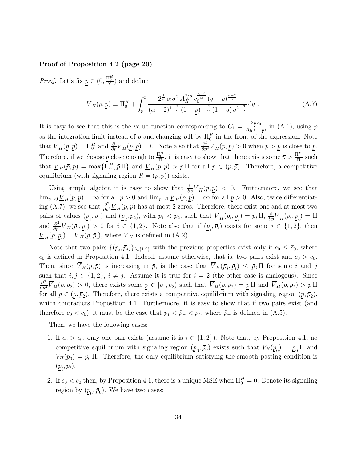### Proof of Proposition 4.2 (page 20)

*Proof.* Let's fix  $\underline{p} \in (0, \frac{\Pi_0^H}{Y})$  and define

$$
\underline{V}_H(p,\underline{p}) \equiv \Pi_0^H + \int_{\underline{p}}^p \frac{2^{\frac{1}{\alpha}} \alpha \sigma^2 A_H^{2/\alpha} c_0^{\frac{\alpha-2}{\alpha}} (q-\underline{p})^{\frac{\alpha-2}{\alpha}}}{(\alpha-2)^{1-\frac{2}{\alpha}} (1-\underline{p})^{1-\frac{2}{\alpha}} (1-q) q^{2-\frac{2}{\alpha}}} dq.
$$
\n(A.7)

It is easy to see that this is the value function corresponding to  $C_1 = \frac{2p c_0}{A_H(1-p)}$  in (A.1), using p as the integration limit instead of  $\bar{p}$  and changing  $\bar{p} \Pi$  by  $\Pi_0^H$  in the front of the expression. Note that  $\underline{V}_H(\underline{p}, \underline{p}) = \Pi_0^H$  and  $\frac{\partial}{\partial p} \underline{V}_H(\underline{p}, \underline{p}) = 0$ . Note also that  $\frac{\partial^2}{\partial p^2} \underline{V}_H(\underline{p}, \underline{p}) > 0$  when  $p > \underline{p}$  is close to  $\underline{p}$ . Therefore, if we choose  $\underline{p}$  close enough to  $\frac{\Pi_0^H}{\Pi}$ , it is easy to show that there exists some  $\overline{p} > \frac{\Pi_0^H}{\Pi}$  such that  $\underline{V}_H(\bar{p}, \underline{p}) = \max{\{\Pi_0^H, \bar{p} \Pi\}}$  and  $\underline{V}_H(p, \underline{p}) > p \Pi$  for all  $p \in (\underline{p}, \bar{p})$ . Therefore, a competitive equilibrium (with signaling region  $R = (p, \bar{p})$ ) exists.

Using simple algebra it is easy to show that  $\frac{\partial}{\partial p} V_H(p, p) < 0$ . Furthermore, we see that  $\lim_{p\to 0} \underline{V}_H(p, \underline{p}) = \infty$  for all  $p > 0$  and  $\lim_{p\to 1} \underline{V}_H(p, \underline{p}) = \infty$  for all  $\underline{p} > 0$ . Also, twice differentiating (A.7), we see that  $\frac{\partial^2}{\partial p^2}V_H(p,p)$  has at most 2 zeros. Therefore, there exist one and at most two pairs of values  $(p_1, \bar{p}_1)$  and  $(p_2, \bar{p}_2)$ , with  $\bar{p}_1 < \bar{p}_2$ , such that  $\underline{V}_H(\bar{p}_i, \underline{p}_i) = \bar{p}_i \Pi$ ,  $\frac{\partial}{\partial p} \underline{V}_H(\bar{p}_i, \underline{p}_i) = \Pi$ and  $\frac{\partial^2}{\partial p^2} \underline{V}_H(\bar{p}_i, \underline{p}_i) > 0$  for  $i \in \{1, 2\}$ . Note also that if  $(\underline{p}_i, \bar{p}_i)$  exists for some  $i \in \{1, 2\}$ , then  $V_H(p, \underline{p}_i) = V_H(p, \overline{p}_i)$ , where  $V_H$  is defined in (A.2).

Note that two pairs  $\{(\underline{p}_i, \bar{p}_i)\}_{i\in\{1,2\}}$  with the previous properties exist only if  $c_0 \leq \bar{c}_0$ , where  $\bar{c}_0$  is defined in Proposition 4.1. Indeed, assume otherwise, that is, two pairs exist and  $c_0 > \bar{c}_0$ . Then, since  $\overline{V}_H(p,\overline{p})$  is increasing in  $\overline{p}$ , is the case that  $\overline{V}_H(\overline{p}_j,\overline{p}_i) \leq \overline{p}_j \Pi$  for some i and j such that  $i, j \in \{1, 2\}, i \neq j$ . Assume it is true for  $i = 2$  (the other case is analogous). Since  $\frac{\partial^2}{\partial p^2}\overline{V}_H(p,\bar{p}_2) > 0$ , there exists some  $\underline{p} \in [\bar{p}_1,\bar{p}_2)$  such that  $\overline{V}_H(\underline{p},\bar{p}_2) = \underline{p} \Pi$  and  $\overline{V}_H(p,\bar{p}_2) > p \Pi$ for all  $p \in (p, \bar{p}_2)$ . Therefore, there exists a competitive equilibrium with signaling region  $(p, \bar{p}_2)$ , which contradicts Proposition 4.1. Furthermore, it is easy to show that if two pairs exist (and therefore  $c_0 < \bar{c}_0$ , it must be the case that  $\bar{p}_1 < \tilde{p}_- < \bar{p}_2$ , where  $\tilde{p}_-$  is defined in (A.5).

Then, we have the following cases:

- 1. If  $c_0 > \bar{c}_0$ , only one pair exists (assume it is  $i \in \{1,2\}$ ). Note that, by Proposition 4.1, no competitive equilibrium with signaling region  $(\underline{p}_0, \bar{p}_0)$  exists such that  $V_H(\underline{p}_0) = \underline{p}_0 \Pi$  and  $V_H(\bar{p}_0) = \bar{p}_0 \Pi$ . Therefore, the only equilibrium satisfying the smooth pasting condition is  $(p_i, \bar{p}_i)$ .
- 2. If  $c_0 < \bar{c}_0$  then, by Proposition 4.1, there is a unique MSE when  $\Pi_0^H = 0$ . Denote its signaling region by  $(\underline{p}_0, \overline{p}_0)$ . We have two cases: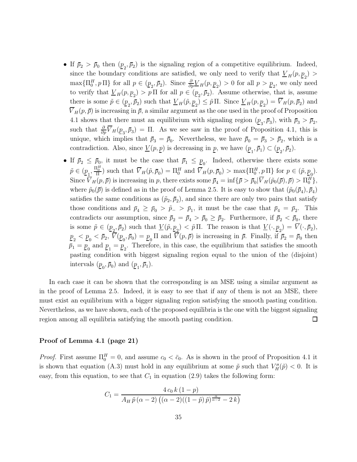- If  $\bar{p}_2 > \bar{p}_0$  then  $(\underline{p}_2, \bar{p}_2)$  is the signaling region of a competitive equilibrium. Indeed, since the boundary conditions are satisfied, we only need to verify that  $\underline{V}_H(p,\underline{p}_2)$  $\max\{\Pi_0^H, p\Pi\}$  for all  $p \in (\underline{p}_2, \bar{p}_2)$ . Since  $\frac{\partial}{\partial p}V_H(p, \underline{p}_2) > 0$  for all  $p > \underline{p}_2$ , we only need to verify that  $\underline{V}_H(p, \underline{p}_2) > p \Pi$  for all  $p \in (\underline{p}_2, \overline{p}_2)$ . Assume otherwise, that is, assume there is some  $\tilde{p} \in (\underline{p}_2, \bar{p}_2)$  such that  $\underline{V}_H(\tilde{p}, \underline{p}_2) \leq \tilde{p} \Pi$ . Since  $\underline{V}_H(p, \underline{p}_2) = V_H(p, \bar{p}_2)$  and  $V_H(p,\bar{p})$  is increasing in  $\bar{p}$ , a similar argument as the one used in the proof of Proposition 4.1 shows that there must an equilibrium with signaling region  $(p_3, \bar{p}_3)$ , with  $\bar{p}_3 > \bar{p}_2$ , such that  $\frac{\partial}{\partial p} \overline{V}_H(\underline{p}_3, \overline{p}_3) = \Pi$ . As we see saw in the proof of Proposition 4.1, this is unique, which implies that  $\bar{p}_3 = \bar{p}_0$ . Nevertheless, we have  $\bar{p}_0 = \bar{p}_3 > \bar{p}_2$ , which is a contradiction. Also, since  $\underline{V}(p, \underline{p})$  is decreasing in  $\underline{p}$ , we have  $(\underline{p}_1, \bar{p}_1) \subset (\underline{p}_2, \bar{p}_2)$ .
- If  $\bar{p}_2 \le \bar{p}_0$ , it must be the case that  $\bar{p}_1 \le \underline{p}_0$ . Indeed, otherwise there exists some  $\tilde{p} \in (\underline{p}_1, \frac{\Pi_0^H}{\Pi})$  such that  $\overline{V}_H(\tilde{p}, \bar{p}_0) = \Pi_0^H$  and  $\overline{V}_H(p, \bar{p}_0) > \max\{\Pi_0^H, \underline{p} \Pi\}$  for  $p \in (\tilde{p}, \underline{p}_0)$ . Since  $\overline{V}_H(p,\overline{p})$  is increasing in p, there exists some  $\overline{p}_4 = \inf \{ \overline{p} > \overline{p}_0 | \overline{V}_H(\tilde{p}_0(\overline{p}), \overline{p}) > \Pi_0^H \},$ where  $\tilde{p}_0(\bar{p})$  is defined as in the proof of Lemma 2.5. It is easy to show that  $(\tilde{p}_0(\bar{p}_4), \bar{p}_4)$ satisfies the same conditions as  $(\tilde{p}_2, \bar{p}_2)$ , and since there are only two pairs that satisfy those conditions and  $\bar{p}_4 \ge \bar{p}_0 > \tilde{p}_- > \bar{p}_1$ , it must be the case that  $\bar{p}_4 = \bar{p}_2$ . This contradicts our assumption, since  $\bar{p}_2 = \bar{p}_4 > \bar{p}_0 \ge \bar{p}_2$ . Furthermore, if  $\bar{p}_2 < \bar{p}_0$ , there is some  $\tilde{p} \in (\underline{p}_2, \bar{p}_2)$  such that  $\underline{V}(\tilde{p}, \underline{p}_2) < \tilde{p} \Pi$ . The reason is that  $\underline{V}(\cdot, \underline{p}_2) = V(\cdot, \bar{p}_2)$ ,  $p_2 < p_0 < \bar{p}_2$ ,  $V(p_0, \bar{p}_0) = p_0 \Pi$  and  $V(p, \bar{p})$  is increasing in  $\bar{p}$ . Finally, if  $\bar{p}_2 = \bar{p}_0$  then  $\bar{p}_1 = \underline{p}_0$  and  $\underline{p}_1 = \underline{p}_2$ . Therefore, in this case, the equilibrium that satisfies the smooth pasting condition with biggest signaling region equal to the union of the (disjoint) intervals  $(\underline{p}_0, \bar{p}_0)$  and  $(\underline{p}_1, \bar{p}_1)$ .

In each case it can be shown that the corresponding is an MSE using a similar argument as in the proof of Lemma 2.5. Indeed, it is easy to see that if any of them is not an MSE, there must exist an equilibrium with a bigger signaling region satisfying the smooth pasting condition. Nevertheless, as we have shown, each of the proposed equilibria is the one with the biggest signaling region among all equilibria satisfying the smooth pasting condition.  $\Box$ 

#### Proof of Lemma 4.1 (page 21)

*Proof.* First assume  $\Pi_0^H = 0$ , and assume  $c_0 < \bar{c}_0$ . As is shown in the proof of Proposition 4.1 it is shown that equation (A.3) must hold in any equilibrium at some  $\tilde{p}$  such that  $V_H''(\tilde{p}) < 0$ . It is easy, from this equation, to see that  $C_1$  in equation (2.9) takes the following form:

$$
C_1 = \frac{4 c_0 k (1 - p)}{A_H \tilde{p} (\alpha - 2) ((\alpha - 2)((1 - \tilde{p}) \tilde{p})^{\frac{\alpha}{\alpha - 2}} - 2 k)}
$$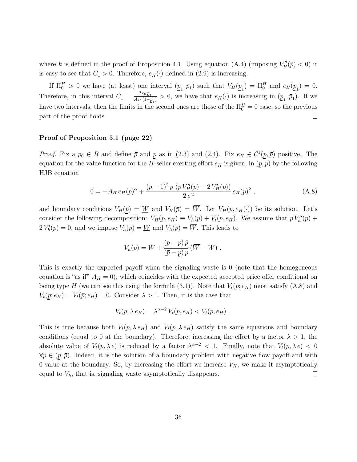where k is defined in the proof of Proposition 4.1. Using equation (A.4) (imposing  $V_H''(\tilde{p}) < 0$ ) it is easy to see that  $C_1 > 0$ . Therefore,  $e_H(\cdot)$  defined in (2.9) is increasing.

If  $\Pi_0^H > 0$  we have (at least) one interval  $(p_1, \bar{p}_1)$  such that  $V_H(p_1) = \Pi_0^H$  and  $e_H(p_1) = 0$ . Therefore, in this interval  $C_1 = \frac{2 c_0 p_1}{A_H (1-p_1)} > 0$ , we have that  $e_H(\cdot)$  is increasing in  $(p_1, \bar{p}_1)$ . If we have two intervals, then the limits in the second ones are those of the  $\Pi_0^H = 0$  case, so the previous part of the proof holds.  $\Box$ 

### Proof of Proposition 5.1 (page 22)

*Proof.* Fix a  $p_0 \in R$  and define  $\bar{p}$  and p as in (2.3) and (2.4). Fix  $e_H \in C^1(p, \bar{p})$  positive. The equation for the value function for the H-seller exerting effort  $e_H$  is given, in  $(p, \bar{p})$  by the following HJB equation

$$
0 = -A_H e_H(p)^{\alpha} + \frac{(p-1)^2 p (p V_H''(p) + 2 V_H'(p))}{2 \sigma^2} e_H(p)^2 , \qquad (A.8)
$$

and boundary conditions  $V_H(p) = \underline{W}$  and  $V_H(\bar{p}) = \overline{W}$ . Let  $V_H(p, e_H(\cdot))$  be its solution. Let's consider the following decomposition:  $V_H(p, e_H) \equiv V_h(p) + V_t(p, e_H)$ . We assume that  $p V_h''(p) + p$  $2 V'_h(p) = 0$ , and we impose  $V_h(p) = \underline{W}$  and  $V_h(\bar{p}) = \overline{W}$ . This leads to

$$
V_h(p) = \underline{W} + \frac{(p-p)\,\bar{p}}{(\bar{p}-p)\,p}(\overline{W}-\underline{W})\;.
$$

This is exactly the expected payoff when the signaling waste is 0 (note that the homogeneous equation is "as if"  $A_H = 0$ ), which coincides with the expected accepted price offer conditional on being type H (we can see this using the formula (3.1)). Note that  $V_t(p; e_H)$  must satisfy (A.8) and  $V_t(p; e_H) = V_t(\bar{p}; e_H) = 0$ . Consider  $\lambda > 1$ . Then, it is the case that

$$
V_t(p, \lambda e_H) = \lambda^{\alpha - 2} V_t(p, e_H) < V_t(p, e_H) \, .
$$

This is true because both  $V_t(p, \lambda e_H)$  and  $V_t(p, \lambda e_H)$  satisfy the same equations and boundary conditions (equal to 0 at the boundary). Therefore, increasing the effort by a factor  $\lambda > 1$ , the absolute value of  $V_t(p, \lambda e)$  is reduced by a factor  $\lambda^{\alpha-2} < 1$ . Finally, note that  $V_t(p, \lambda e) < 0$  $\forall p \in (p, \bar{p})$ . Indeed, it is the solution of a boundary problem with negative flow payoff and with 0-value at the boundary. So, by increasing the effort we increase  $V_H$ , we make it asymptotically equal to  $V_h$ , that is, signaling waste asymptotically disappears. 口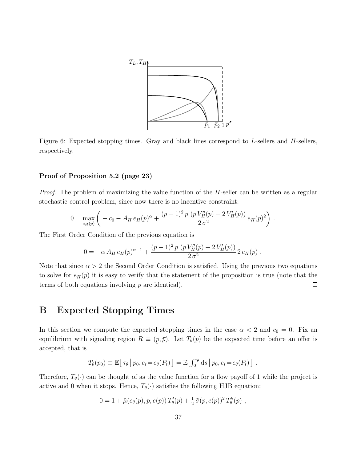

Figure 6: Expected stopping times. Gray and black lines correspond to  $L$ -sellers and  $H$ -sellers, respectively.

#### Proof of Proposition 5.2 (page 23)

Proof. The problem of maximizing the value function of the H-seller can be written as a regular stochastic control problem, since now there is no incentive constraint:

$$
0 = \max_{e_H(p)} \left( -c_0 - A_H e_H(p)^{\alpha} + \frac{(p-1)^2 p \left( p V_H''(p) + 2 V_H'(p) \right)}{2 \sigma^2} e_H(p)^2 \right).
$$

The First Order Condition of the previous equation is

$$
0 = -\alpha A_H e_H(p)^{\alpha - 1} + \frac{(p-1)^2 p (p V_H''(p) + 2 V_H'(p))}{2 \sigma^2} 2 e_H(p).
$$

Note that since  $\alpha > 2$  the Second Order Condition is satisfied. Using the previous two equations to solve for  $e_H(p)$  it is easy to verify that the statement of the proposition is true (note that the terms of both equations involving  $p$  are identical).  $\Box$ 

### B Expected Stopping Times

In this section we compute the expected stopping times in the case  $\alpha < 2$  and  $c_0 = 0$ . Fix an equilibrium with signaling region  $R \equiv (p, \bar{p})$ . Let  $T_{\theta}(p)$  be the expected time before an offer is accepted, that is

$$
T_{\theta}(p_0) \equiv \mathbb{E} \big[ \tau_{\theta} \, \big| \, p_0, e_t \!=\! e_{\theta}(P_t) \big] = \mathbb{E} \big[ \int_0^{\tau_{\theta}} ds \, \big| \, p_0, e_t \!=\! e_{\theta}(P_t) \big] .
$$

Therefore,  $T_{\theta}(\cdot)$  can be thought of as the value function for a flow payoff of 1 while the project is active and 0 when it stops. Hence,  $T_{\theta}(\cdot)$  satisfies the following HJB equation:

$$
0 = 1 + \tilde{\mu}(e_{\theta}(p), p, e(p)) T'_{\theta}(p) + \frac{1}{2} \tilde{\sigma}(p, e(p))^2 T''_{\theta}(p) ,
$$